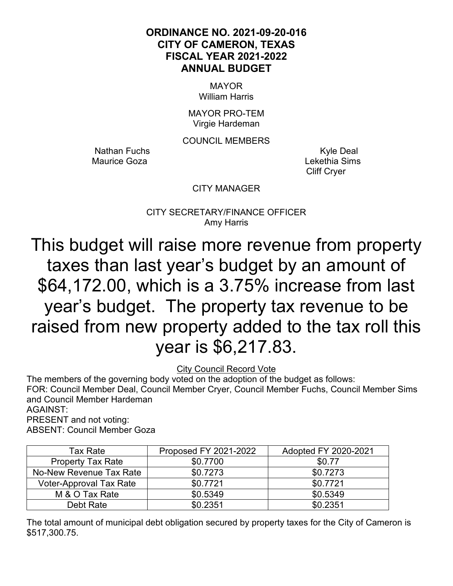### **ORDINANCE NO. 2021-09-20-016 CITY OF CAMERON, TEXAS FISCAL YEAR 2021-2022 ANNUAL BUDGET**

MAYOR William Harris

MAYOR PRO-TEM Virgie Hardeman

COUNCIL MEMBERS

Nathan Fuchs **Kyle Deal** Maurice Goza **Maurice Goza** Lekethia Sims

Cliff Cryer

### CITY MANAGER

CITY SECRETARY/FINANCE OFFICER Amy Harris

This budget will raise more revenue from property taxes than last year's budget by an amount of \$64,172.00, which is a 3.75% increase from last year's budget. The property tax revenue to be raised from new property added to the tax roll this year is \$6,217.83.

City Council Record Vote

The members of the governing body voted on the adoption of the budget as follows: FOR: Council Member Deal, Council Member Cryer, Council Member Fuchs, Council Member Sims and Council Member Hardeman

AGAINST:

PRESENT and not voting:

ABSENT: Council Member Goza

| Tax Rate                       | Proposed FY 2021-2022 | Adopted FY 2020-2021 |
|--------------------------------|-----------------------|----------------------|
| <b>Property Tax Rate</b>       | \$0.7700              | \$0.77               |
| No-New Revenue Tax Rate        | \$0.7273              | \$0.7273             |
| <b>Voter-Approval Tax Rate</b> | \$0.7721              | \$0.7721             |
| M & O Tax Rate                 | \$0.5349              | \$0.5349             |
| Debt Rate                      | \$0.2351              | \$0.2351             |

The total amount of municipal debt obligation secured by property taxes for the City of Cameron is \$517,300.75.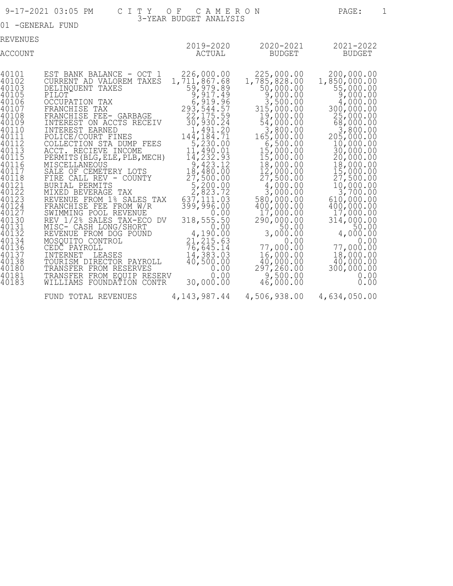|                                                                                                                                                                                                                                                                                     | 9-17-2021 03:05 PM<br>C I T Y                                                                                                                                                                                                                                                                                                                                                                                                                                                                                                                                                                                                                                                                                                                                   | OF CAMERON                                                                                                                                                                                                                                                                                                                                                                                                                                             |                                                                                                                                                                                                                                                                                                                                                                                                                                               | PAGE:                                                                                                                                                                                                                                                                                                                                                                                             | 1 |
|-------------------------------------------------------------------------------------------------------------------------------------------------------------------------------------------------------------------------------------------------------------------------------------|-----------------------------------------------------------------------------------------------------------------------------------------------------------------------------------------------------------------------------------------------------------------------------------------------------------------------------------------------------------------------------------------------------------------------------------------------------------------------------------------------------------------------------------------------------------------------------------------------------------------------------------------------------------------------------------------------------------------------------------------------------------------|--------------------------------------------------------------------------------------------------------------------------------------------------------------------------------------------------------------------------------------------------------------------------------------------------------------------------------------------------------------------------------------------------------------------------------------------------------|-----------------------------------------------------------------------------------------------------------------------------------------------------------------------------------------------------------------------------------------------------------------------------------------------------------------------------------------------------------------------------------------------------------------------------------------------|---------------------------------------------------------------------------------------------------------------------------------------------------------------------------------------------------------------------------------------------------------------------------------------------------------------------------------------------------------------------------------------------------|---|
| 01 - GENERAL FUND                                                                                                                                                                                                                                                                   |                                                                                                                                                                                                                                                                                                                                                                                                                                                                                                                                                                                                                                                                                                                                                                 | 3-YEAR BUDGET ANALYSIS                                                                                                                                                                                                                                                                                                                                                                                                                                 |                                                                                                                                                                                                                                                                                                                                                                                                                                               |                                                                                                                                                                                                                                                                                                                                                                                                   |   |
| REVENUES<br>ACCOUNT                                                                                                                                                                                                                                                                 |                                                                                                                                                                                                                                                                                                                                                                                                                                                                                                                                                                                                                                                                                                                                                                 | ACTUAL                                                                                                                                                                                                                                                                                                                                                                                                                                                 | 2019-2020 2020-2021<br><b>BUDGET</b>                                                                                                                                                                                                                                                                                                                                                                                                          | 2021-2022<br><b>BUDGET</b>                                                                                                                                                                                                                                                                                                                                                                        |   |
| 40101<br>40102<br>40103<br>40105<br>40106<br>40107<br>40108<br>40109<br>40110<br>40111<br>40112<br>40113<br>40115<br>40116<br>40117<br>40118<br>40121<br>40122<br>40123<br>40124<br>40127<br>40130<br>40131<br>40132<br>40134<br>40136<br>40137<br>40138<br>40180<br>40181<br>40183 | EST BANK BALANCE - OCT 1<br>CURRENT AD VALOREM TAXES<br>DELINQUENT TAXES<br>PILOT<br>OCCUPATION TAX<br>FRANCHISE TAX<br>FRANCHISE FEE- GARBAGE<br>INTEREST ON ACCTS RECEIV<br>INTEREST EARNED<br>POLICE/COURT FINES<br>COLLECTION STA DUMP FEES<br>ACCT. RECIEVE INCOME<br>PERMITS (BLG, ELE, PLB, MECH)<br>MISCELLANEOUS<br>SALE OF CEMETERY LOTS<br>FIRE CALL REV - COUNTY<br>BURIAL PERMITS<br>MIXED BEVERAGE TAX<br>REVENUE FROM 1% SALES TAX<br>FRANCHISE FEE FROM W/R<br>SWIMMING POOL REVENUE<br>REV 1/2% SALES TAX-ECO DV<br>MISC- CASH LONG/SHORT<br>REVENUE FROM DOG POUND<br>MOSOUITO CONTROL<br>CEDC PAYROLL<br>INTERNET<br>LEASES<br>TOURISM DIRECTOR PAYROLL<br>TRANSFER FROM RESERVES<br>TRANSFER FROM EQUIP RESERV<br>WILLIAMS FOUNDATION CONTR | 226,000.00<br>1,711,867.68<br>59, 979.89<br>9, 917.49<br>$6,919.96$<br>293, 544.57<br>22, 175.59<br>30, 930.24<br>1,491.20<br>144, 184. 71<br>$\frac{5}{2}$ , 230.00<br>11, 490.01<br>14,232.93<br>$\frac{9}{18}$ , 423.12<br>$\frac{18}{27}$ , 500.00<br>$\frac{5}{2}$ , 200.00<br>2, 823.72<br>637,111.03<br>399, 996.00<br>0.00<br>318,555.50<br>0.00<br>4,190.00<br>21, 215.63<br>76,645.14<br>14,383.03<br>40,500.00<br>0.00<br>0.00<br>30,000.00 | 225,000.00<br>1,785,828.00<br>$50,000.00$<br>$9,000.00$<br>3,500.00<br>315,000.00<br>$\frac{19}{54}$ , 000.00<br>54, 000.00<br>3,800.00<br>165,000.00<br>6,500.00<br>15,000.00<br>15,000.00<br>18,000.00<br>$\frac{12}{27}$ , 000.00<br>27, 500.00<br>4,000.00<br>3,000.00<br>580,000.00<br>400,000.00<br>17,000.00<br>290,000.00<br>50.00<br>3,000.00<br>0.00<br>77,000.00<br>16,000.00<br>40,000.00<br>297, 260.00<br>9,500.00<br>46,000.00 | 200,000.00<br>1,850,000.00<br>55,000.00<br>9,000.00<br>4,000.00<br>300,000.00<br>25,000.00<br>68,000.00<br>3,800.00<br>205,000.00<br>10,000.00<br>30,000.00<br>20,000.00<br>18,000.00<br>15,000.00<br>27,500.00<br>10,000.00<br>3,700.00<br>610,000.00<br>400,000.00<br>17,000.00<br>314,000.00<br>50.00<br>4,000.00<br>0.00<br>77,000.00<br>18,000.00<br>40,000.00<br>300,000.00<br>0.00<br>0.00 |   |
|                                                                                                                                                                                                                                                                                     | FUND TOTAL REVENUES                                                                                                                                                                                                                                                                                                                                                                                                                                                                                                                                                                                                                                                                                                                                             | 4, 143, 987.44                                                                                                                                                                                                                                                                                                                                                                                                                                         | 4,506,938.00                                                                                                                                                                                                                                                                                                                                                                                                                                  | 4,634,050.00                                                                                                                                                                                                                                                                                                                                                                                      |   |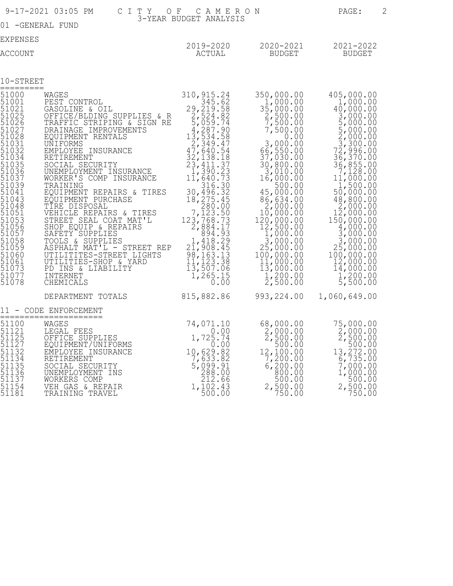|                                                                                                                                                                                                                                    | 9-17-2021 03:05 PM<br>C I T Y<br>O F                                                                                                                                                                                                                                                                                                                                                                                                                                                                                                                                                                            | CAMERON<br>3-YEAR BUDGET ANALYSIS                                                                                                                                                                                                                                                                                                                                                 |                                                                                                                                                                                                                                                                                                                                                                                                          | 2<br>PAGE:                                                                                                                                                                                                                                                                                                                                                                                    |  |
|------------------------------------------------------------------------------------------------------------------------------------------------------------------------------------------------------------------------------------|-----------------------------------------------------------------------------------------------------------------------------------------------------------------------------------------------------------------------------------------------------------------------------------------------------------------------------------------------------------------------------------------------------------------------------------------------------------------------------------------------------------------------------------------------------------------------------------------------------------------|-----------------------------------------------------------------------------------------------------------------------------------------------------------------------------------------------------------------------------------------------------------------------------------------------------------------------------------------------------------------------------------|----------------------------------------------------------------------------------------------------------------------------------------------------------------------------------------------------------------------------------------------------------------------------------------------------------------------------------------------------------------------------------------------------------|-----------------------------------------------------------------------------------------------------------------------------------------------------------------------------------------------------------------------------------------------------------------------------------------------------------------------------------------------------------------------------------------------|--|
|                                                                                                                                                                                                                                    | 01 - GENERAL FUND                                                                                                                                                                                                                                                                                                                                                                                                                                                                                                                                                                                               |                                                                                                                                                                                                                                                                                                                                                                                   |                                                                                                                                                                                                                                                                                                                                                                                                          |                                                                                                                                                                                                                                                                                                                                                                                               |  |
| <b>EXPENSES</b>                                                                                                                                                                                                                    |                                                                                                                                                                                                                                                                                                                                                                                                                                                                                                                                                                                                                 | 2019-2020                                                                                                                                                                                                                                                                                                                                                                         | 2020-2021                                                                                                                                                                                                                                                                                                                                                                                                | 2021-2022                                                                                                                                                                                                                                                                                                                                                                                     |  |
| <b>ACCOUNT</b>                                                                                                                                                                                                                     |                                                                                                                                                                                                                                                                                                                                                                                                                                                                                                                                                                                                                 | ACTUAL                                                                                                                                                                                                                                                                                                                                                                            | <b>BUDGET</b>                                                                                                                                                                                                                                                                                                                                                                                            | <b>BUDGET</b>                                                                                                                                                                                                                                                                                                                                                                                 |  |
|                                                                                                                                                                                                                                    |                                                                                                                                                                                                                                                                                                                                                                                                                                                                                                                                                                                                                 |                                                                                                                                                                                                                                                                                                                                                                                   |                                                                                                                                                                                                                                                                                                                                                                                                          |                                                                                                                                                                                                                                                                                                                                                                                               |  |
| 10-STREET<br>=========                                                                                                                                                                                                             |                                                                                                                                                                                                                                                                                                                                                                                                                                                                                                                                                                                                                 |                                                                                                                                                                                                                                                                                                                                                                                   |                                                                                                                                                                                                                                                                                                                                                                                                          |                                                                                                                                                                                                                                                                                                                                                                                               |  |
| 51000<br>510011<br>510215<br>51026<br>51027<br>51023<br>510312<br>510324<br>51035<br>51036<br>51037<br>51044<br>51044<br>551043<br>51048<br>51053<br>51055<br>51055<br>51058<br>51059<br>51060<br>51061<br>51073<br>51077<br>51078 | WAGES<br>PEST CONTROL<br>GASOLINE & OIL<br>OFFICE/BLDING SUPPLIES & R<br>TRAFFIC STRIPING & SIGN RE<br>DRAINAGE IMPROVEMENTS<br>EQUIPMENT RENTALS<br>UNIFORMS<br>EMPLOYEE INSURANCE<br>RETIREMENT<br>SOCIAL SECURITY<br>UNEMPLOYMENT INSURANCE<br>WORKER'S COMP INSURANCE<br>TRAINING<br>EQUIPMENT REPAIRS & TIRES<br>EQUIPMENT PURCHASE<br>TIRE DISPOSAL<br>VEHICLE REPAIRS & TIRES<br>STREET SEAL COAT MAT'L<br>SHOP EQUIP & REPAIRS<br>SAFETY SUPPLIES<br>TOOLS & SUPPLIES<br>ASPHALT MAT'L - STREET REP<br>UTILITITES-STREET LIGHTS<br>UTILITIES-SHOP & YARD<br>PD INS & LIABILITY<br>INTERNET<br>CHEMICALS | 310, 915.24<br>345.62<br>29, 219.58<br>2,524.82<br>5,059.74<br>$\frac{4}{13}$ , 287.90<br>13, 534.58<br>2,349.47<br>$47,640.54$<br>32,138.18<br>23,411.37<br>$\frac{1}{11}$ , 390.23<br>11, 640.73<br>316.30<br>30, 496.32<br>18, 275.45<br>7,123.50<br>123,768.73<br>2,884.17<br>894.93<br>1,418.29<br>21,908.45<br>98, 163.13<br>11, 123.38<br>13, 507.06<br>$1,265.15$<br>0.00 | 350,000.00<br>1,000.00<br>35,000.00<br>$\frac{2}{7}$ , 500.00<br>7, 500.00<br>7,500.00<br>0.00<br>3,000.00<br>66,550.00<br>37,030.00<br>30,800.00<br>3,010.00<br>16,000.00<br>500.00<br>45,000.00<br>86,634.00<br>2,000.00<br>10,000.00<br>120,000.00<br>12,500.00<br>$1,000.00$<br>3,000.00<br>25,000.00<br>100,000.00<br>$\frac{11}{13}$ , 000.00<br>13, 000.00<br>$\frac{1}{2}$ , 200.00<br>2, 500.00 | 405,000.00<br>1,000.00<br>40,000.00<br>3,000.00<br>5,000.00<br>$5,000.00$<br>$2,000.00$<br>$2,300.00$<br>$3,300.00$<br>$72,396.00$<br>$36,370.00$<br>$36,855.00$<br>$1,000.00$<br>$1,500.00$<br>50,000.00<br>48,800.00<br>2,000.00<br>12,000.00<br>150,000.00<br>4,000.00<br>3,000.00<br>3,000.00<br>25,000.00<br>100,000.00<br>12,000.00<br>14,000.00<br>$\frac{1}{5}$ , 200.00<br>5, 500.00 |  |
|                                                                                                                                                                                                                                    | DEPARTMENT TOTALS 815,882.86                                                                                                                                                                                                                                                                                                                                                                                                                                                                                                                                                                                    |                                                                                                                                                                                                                                                                                                                                                                                   | 993, 224.00                                                                                                                                                                                                                                                                                                                                                                                              | 1,060,649.00                                                                                                                                                                                                                                                                                                                                                                                  |  |
| 11                                                                                                                                                                                                                                 | - CODE ENFORCEMENT<br>==================                                                                                                                                                                                                                                                                                                                                                                                                                                                                                                                                                                        |                                                                                                                                                                                                                                                                                                                                                                                   |                                                                                                                                                                                                                                                                                                                                                                                                          |                                                                                                                                                                                                                                                                                                                                                                                               |  |
| 51100<br>51121<br>51125<br>51127<br>51132<br>51134<br>511356<br>511367<br>51137<br>51154<br>51181                                                                                                                                  | $74,071.10$<br>$0.00$<br>$1,725.74$<br>WAGES<br>LEGAL FEES<br>OFFICE SUPPLIES<br>EQUIPMENT/UNIFORMS<br>EMPLOYEE INSURANCE<br>RETIREMENT<br>SOCIAL SECURITY<br>UNEMPLOYMENT INS<br>WORKERS COMP<br>VEH GAS & REPAIR<br>TRAINING TRAVEL                                                                                                                                                                                                                                                                                                                                                                           | 0.00<br>10,629.82<br>7,633.82<br>5,099.91<br>288.00<br>212.66<br>1,102.43<br>500.00                                                                                                                                                                                                                                                                                               | 68,000.00<br>$\frac{2}{2}$ , 000.00<br>2, 500.00<br>500.00<br>12,100.00<br>7,200.00<br>6,200.00<br>00.00<br>500.00<br>2,500.00<br>750.00                                                                                                                                                                                                                                                                 | 75,000.00<br>$\frac{2}{2}$ , 000.00<br>2, 500.00<br>500.00<br>13,272.00<br>6,735.00<br>7,000.00<br>1,000.00<br>500.00<br>2,500.00<br>750.00                                                                                                                                                                                                                                                   |  |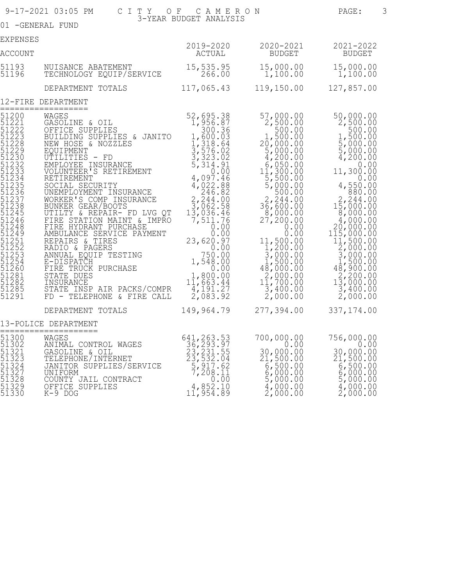|                                                                                                                                                                                                                                                 | 9-17-2021 03:05 PM                                                                                                                                                                                                                                                                                                                                                                                                                                                                                                                                                                                                        | CITY OF CAMERON                                                                                                                                                                                                                                                                                                                                                                             |                                                                                                                                                                                                                                                                                                                                                                                                             | PAGE:                                                                                                                                                                                                                                                                                                                                                                                                                                                   | 3 |
|-------------------------------------------------------------------------------------------------------------------------------------------------------------------------------------------------------------------------------------------------|---------------------------------------------------------------------------------------------------------------------------------------------------------------------------------------------------------------------------------------------------------------------------------------------------------------------------------------------------------------------------------------------------------------------------------------------------------------------------------------------------------------------------------------------------------------------------------------------------------------------------|---------------------------------------------------------------------------------------------------------------------------------------------------------------------------------------------------------------------------------------------------------------------------------------------------------------------------------------------------------------------------------------------|-------------------------------------------------------------------------------------------------------------------------------------------------------------------------------------------------------------------------------------------------------------------------------------------------------------------------------------------------------------------------------------------------------------|---------------------------------------------------------------------------------------------------------------------------------------------------------------------------------------------------------------------------------------------------------------------------------------------------------------------------------------------------------------------------------------------------------------------------------------------------------|---|
|                                                                                                                                                                                                                                                 | 01 -GENERAL FUND                                                                                                                                                                                                                                                                                                                                                                                                                                                                                                                                                                                                          | 3-YEAR BUDGET ANALYSIS                                                                                                                                                                                                                                                                                                                                                                      |                                                                                                                                                                                                                                                                                                                                                                                                             |                                                                                                                                                                                                                                                                                                                                                                                                                                                         |   |
| EXPENSES                                                                                                                                                                                                                                        |                                                                                                                                                                                                                                                                                                                                                                                                                                                                                                                                                                                                                           |                                                                                                                                                                                                                                                                                                                                                                                             |                                                                                                                                                                                                                                                                                                                                                                                                             |                                                                                                                                                                                                                                                                                                                                                                                                                                                         |   |
| ACCOUNT                                                                                                                                                                                                                                         |                                                                                                                                                                                                                                                                                                                                                                                                                                                                                                                                                                                                                           | 2019-2020<br>ACTUAL                                                                                                                                                                                                                                                                                                                                                                         | 2020-2021<br>BUDGET                                                                                                                                                                                                                                                                                                                                                                                         | 2021-2022<br><b>BUDGET</b>                                                                                                                                                                                                                                                                                                                                                                                                                              |   |
| 51193<br>51196                                                                                                                                                                                                                                  | NUISANCE ABATEMENT<br>TECHNOLOGY EQUIP/SERVICE                                                                                                                                                                                                                                                                                                                                                                                                                                                                                                                                                                            | 15,535.95<br>266.00                                                                                                                                                                                                                                                                                                                                                                         | 1,100.00                                                                                                                                                                                                                                                                                                                                                                                                    | 15,000.00  15,000.00<br>1,100.00                                                                                                                                                                                                                                                                                                                                                                                                                        |   |
|                                                                                                                                                                                                                                                 | DEPARTMENT TOTALS                                                                                                                                                                                                                                                                                                                                                                                                                                                                                                                                                                                                         | 117,065.43                                                                                                                                                                                                                                                                                                                                                                                  | 119,150.00                                                                                                                                                                                                                                                                                                                                                                                                  | 127,857.00                                                                                                                                                                                                                                                                                                                                                                                                                                              |   |
|                                                                                                                                                                                                                                                 | 12-FIRE DEPARTMENT                                                                                                                                                                                                                                                                                                                                                                                                                                                                                                                                                                                                        |                                                                                                                                                                                                                                                                                                                                                                                             |                                                                                                                                                                                                                                                                                                                                                                                                             |                                                                                                                                                                                                                                                                                                                                                                                                                                                         |   |
| 51200<br>51221<br>51222<br>51223<br>51228<br>51229<br>51230<br>51232<br>51233<br>51234<br>51235<br>51236<br>51237<br>51238<br>51245<br>51246<br>51248<br>51249<br>51251<br>51252<br>51253<br>51254<br>51260<br>51281<br>51282<br>51285<br>51291 | ==================<br>WAGES<br>GASOLINE & OIL<br>OFFICE SUPPLIES<br>BUILDING SUPPLIES & JANITO<br>NEW HOSE & NOZZLES<br>EQUIPMENT<br>UTILITIES - FD<br>EMPLOYEE INSURANCE<br>VOLUNTEER'S RETIREMENT<br>RETIREMENT<br>SOCIAL SECURITY<br>UNEMPLOYMENT INSURANCE<br>WORKER'S COMP INSURANCE<br>BUNKER GEAR/BOOTS<br>UTILTY & REPAIR- FD LVG QT<br>FIRE STATION MAINT & IMPRO<br>FIRE HYDRANT PURCHASE<br>AMBULANCE SERVICE PAYMENT<br>REPAIRS & TIRES<br>RADIO & PAGERS<br>ANNUAL EQUIP TESTING<br>E-DISPATCH<br>FIRE TRUCK PURCHASE<br>STATE DUES<br>INSURANCE<br>STATE INSP AIR PACKS/COMPR<br>FD - TELEPHONE & FIRE CALL | 52,695.38<br>1,956.87<br>$\begin{array}{c} 300.36 \\ 1,600.03 \end{array}$<br>$\frac{1}{3}$ , 318.64<br>$\frac{3}{5}$ , 576.02<br>$\frac{3}{2}$ , 323.02<br>5,314.91<br>4,097.46<br>$4,022.88$<br>246.82<br>$2, \overline{244.00}$<br>3,062.58<br>13,036.46<br>7,511.76<br>0.000000<br>23,620.97<br>0.00<br>750.00<br>1,548.00<br>0.00<br>$1,800.00$<br>$11,663.44$<br>4,191.27<br>2,083.92 | $57,000.00$<br>2,500.00<br>500.00<br>1,500.00<br>20,000.00<br>5,000.00<br>4,200.00<br>$6,050.00$<br>$11,300.00$<br>$\frac{5}{5}$ , 500.00<br>5,000.00<br>500.00<br>$\begin{array}{c}\n 2, 244.00 \\  36, 600.00 \\  8, 000.00\n \end{array}$<br>27,200.00<br>0.00<br>0.00<br>11,500.00<br>1,200.00<br>$\frac{3}{1}$ , 000.00<br>1, 500.00<br>48,000.00<br>$2,000.00$<br>$11,700.00$<br>3,400.00<br>2,000.00 | $50,000.00$<br>2,500.00<br>$\begin{array}{c} 500.00 \\ 1,500.00 \end{array}$<br>$\begin{array}{c} 5,000.00 \\ 5,000.00 \\ 4,200.00 \end{array}$<br>0.00<br>11,300.00<br>0.00<br>4,550.00<br>880.00<br>$2,244.00$<br>$15,000.00$<br>8,000.00<br>4,000.00<br>20,000.00<br>$1\bar{1}\bar{5}$ , 000.00<br>11,500.00<br>$\frac{2}{3}, \frac{000}{000}.00$<br>3,000.00<br>4,500.00<br>48,900.00<br>$\frac{2}{13}, \frac{200}{900}.00$<br>3,400.00<br>2,000.00 |   |
|                                                                                                                                                                                                                                                 | DEPARTMENT TOTALS                                                                                                                                                                                                                                                                                                                                                                                                                                                                                                                                                                                                         | 149,964.79                                                                                                                                                                                                                                                                                                                                                                                  | 277,394.00                                                                                                                                                                                                                                                                                                                                                                                                  | 337, 174.00                                                                                                                                                                                                                                                                                                                                                                                                                                             |   |
|                                                                                                                                                                                                                                                 | 13-POLICE DEPARTMENT                                                                                                                                                                                                                                                                                                                                                                                                                                                                                                                                                                                                      |                                                                                                                                                                                                                                                                                                                                                                                             |                                                                                                                                                                                                                                                                                                                                                                                                             |                                                                                                                                                                                                                                                                                                                                                                                                                                                         |   |
| 51300<br>51302<br>51321<br>51323<br>51324<br>51327<br>51328<br>51329<br>51330                                                                                                                                                                   | ====================<br>WAGES<br>ANIMAL CONTROL WAGES<br>GASOLINE & OIL<br>TELEPHONE/INTERNET<br>JANITOR SUPPLIES/SERVICE<br>UNIFORM<br>COUNTY JAIL CONTRACT<br>OFFICE SUPPLIES<br>$K-9$ DOG                                                                                                                                                                                                                                                                                                                                                                                                                              | 641, 263.53<br>36, 293.97<br>23, 231.55<br>23, 532.04<br>5, 917.62<br>7, 208.11<br>$7 - 0.00$<br>4,852.10<br>11,954.89                                                                                                                                                                                                                                                                      | 700,000.00<br>0.00<br>30,000.00<br>21,500.00<br>6,500.00<br>6,000.00<br>5,000.00<br>4,000.00<br>2,000.00                                                                                                                                                                                                                                                                                                    | 756,000.00<br>0.00<br>30,000.00<br>21,500.00<br>6,500.00<br>$6,000.00$<br>5,000.00<br>4,000.00<br>2,000.00                                                                                                                                                                                                                                                                                                                                              |   |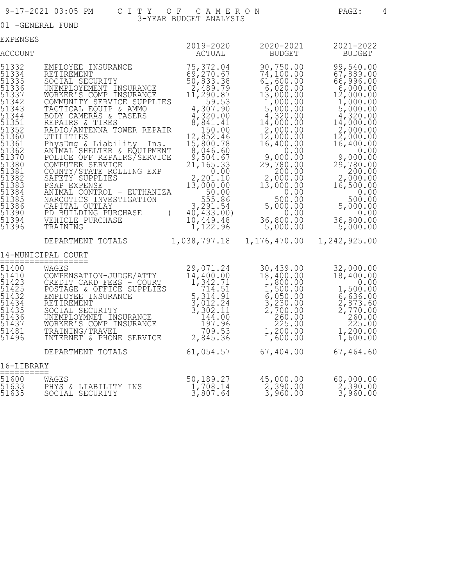01 -GENERAL FUND

EXPENSES

| EXLEMPER                                                                                                                                                  |                                                                                                                                                                                                                                                                                                                                                                                                                                                                                                                                                                          | 2019-2020                                                                                                                                                                                                                                                                                                                    | 2020-2021                                                                                                                                                                                                                                                                                                                           | 2021-2022                                                                                                                                                                                                                                                                                     |
|-----------------------------------------------------------------------------------------------------------------------------------------------------------|--------------------------------------------------------------------------------------------------------------------------------------------------------------------------------------------------------------------------------------------------------------------------------------------------------------------------------------------------------------------------------------------------------------------------------------------------------------------------------------------------------------------------------------------------------------------------|------------------------------------------------------------------------------------------------------------------------------------------------------------------------------------------------------------------------------------------------------------------------------------------------------------------------------|-------------------------------------------------------------------------------------------------------------------------------------------------------------------------------------------------------------------------------------------------------------------------------------------------------------------------------------|-----------------------------------------------------------------------------------------------------------------------------------------------------------------------------------------------------------------------------------------------------------------------------------------------|
| <b>ACCOUNT</b>                                                                                                                                            |                                                                                                                                                                                                                                                                                                                                                                                                                                                                                                                                                                          | ACTUAL                                                                                                                                                                                                                                                                                                                       | <b>BUDGET</b>                                                                                                                                                                                                                                                                                                                       | <b>BUDGET</b>                                                                                                                                                                                                                                                                                 |
| 51332<br>51334<br>51335<br>513520<br>513601<br>51362<br>51362<br>51370<br>)<br>513882<br>513883<br>513884<br>513866<br>513880<br>513880<br>51394<br>51396 | EMPLOYEE INSURANCE<br>RETIREMENT<br>SOCIAL SECURITY<br>UNEMPLOYEMENT INSURANCE<br>WORKER'S COMP INSURANCE<br>COMMUNITY SERVICE SUPPLIES<br>TACTICAL EQUIP & AMMO<br>BODY CAMERÃS & TASERS<br>REPAIRS & TIRES<br>RADIO/ANTENNA TOWER REPAIR<br>UTILITIES<br>PhysDmg & Liability<br>Ins.<br>ANIMAL SHELTER & EQUIPMENT<br>POLICE OFF REPAIRS/SERVICE<br>COMPUTER SERVICE<br>COUNTY/STATE ROLLING EXP<br>SAFETY SUPPLIES<br>PSAP EXPENSE<br>ANIMAL CONTROL - EUTHANIZA<br>NARCOTICS INVESTIGATION<br>CAPITAL OUTLAY<br>PD BUILDING PURCHASE<br>VEHICLE PURCHASE<br>TRAINING | 75, 372.04<br>69, 270.67<br>50, 833.38<br>11,290.87<br>$4,307.90$<br>$4,320.00$<br>$6,841.41$<br>$150.00$<br>$12,852.46$<br>15,800.78<br>$\frac{8,046.60}{9,504.67}$<br>21, 165.33<br>0.00<br>2, 201.10<br>13,000.00<br>50.00<br>$\begin{array}{c} 555.86 \\ 3,291.54 \\ 40,433.00 \end{array}$<br>$10, 449.48$<br>1, 122.96 | 90,750.00<br>74,100.00<br>61,600.00<br>6,020.00<br>13,000.00<br>$\begin{array}{r} 1,000.000 \\ 5,000.00 \\ 4,320.00 \\ 14,000.00 \\ \end{array}$<br>2,000.00<br>$1\bar{2}$ , 000.00<br>16,400.00<br>0.00<br>9,000.00<br>29,780.00<br>200.00<br>2,000.00<br>13,000.00<br>0.00<br>500.00<br>5,000.00<br>0.00<br>36,800.00<br>5,000.00 | 99,540.00<br>$67,889.00$<br>66,996.00<br>6,000.00<br>12,000.00<br>1,000.00<br>$\frac{5}{4}$ , 000.00<br>4, 320.00<br>14,000.00<br>2,000.00<br>12,000.00<br>16,400.00<br>0.00<br>9,000.00<br>29,780.00<br>2,000.00<br>16,500.00<br>0.00<br>500.00<br>5,000.00<br>0.00<br>36,800.00<br>5,000.00 |
|                                                                                                                                                           | DEPARTMENT TOTALS                                                                                                                                                                                                                                                                                                                                                                                                                                                                                                                                                        | 1,038,797.18                                                                                                                                                                                                                                                                                                                 | 1,176,470.00                                                                                                                                                                                                                                                                                                                        | 1,242,925.00                                                                                                                                                                                                                                                                                  |
|                                                                                                                                                           | 14-MUNICIPAL COURT<br>==============                                                                                                                                                                                                                                                                                                                                                                                                                                                                                                                                     |                                                                                                                                                                                                                                                                                                                              |                                                                                                                                                                                                                                                                                                                                     |                                                                                                                                                                                                                                                                                               |
| 51400<br>51435<br>51436<br>51437<br>51481<br>51496                                                                                                        | WAGES<br>COMPENSATION-JUDGE/ATTY<br>CREDIT CARD FEES - COURT<br>POSTAGE & OFFICE SUPPLIES<br>POSTAGE & OFFICE SOPPLIES<br>EMPLOYEE INSURANCE<br>RETIREMENT<br>SOCIAL SECURITY<br>SOCIAL SECURITY<br>UNEMPLOYMNET INSURANCE<br>WORKER'S COMP INSURANCE<br>TRAINING/TRAVEL<br>TRAINING/TRAVEL<br>TRAINING/TRAVEL<br>TRAINING/TRAVEL<br>TO9.53<br>INTE                                                                                                                                                                                                                      | 29,071.24<br>$14, 400.00$<br>$1, 342.71$<br>$714.51$                                                                                                                                                                                                                                                                         | 30,439.00<br>18,400.00<br>$\begin{smallmatrix} 5,400.000\\ 1,800.00\\ 5,050.00\\ 6,050.00\\ 2,700.00\\ 260.00\\ 225.00\\ 1\end{smallmatrix}$<br>$\frac{1}{1}$ , 200.00<br>1, 600.00                                                                                                                                                 | 32,000.00<br>18,400.00<br>0.00<br>1,500.00<br>$\begin{smallmatrix} 2,836.00 \\ 6,636.00 \\ 2,873.60 \\ 2,770.00 \\ 269.00 \\ 225.00 \end{smallmatrix}$<br>1,200.00<br>1,600.00                                                                                                                |
|                                                                                                                                                           | DEPARTMENT TOTALS                                                                                                                                                                                                                                                                                                                                                                                                                                                                                                                                                        | 61,054.57                                                                                                                                                                                                                                                                                                                    | 67,404.00                                                                                                                                                                                                                                                                                                                           | 67,464.60                                                                                                                                                                                                                                                                                     |
| 16-LIBRARY                                                                                                                                                |                                                                                                                                                                                                                                                                                                                                                                                                                                                                                                                                                                          |                                                                                                                                                                                                                                                                                                                              |                                                                                                                                                                                                                                                                                                                                     |                                                                                                                                                                                                                                                                                               |
| 51600<br>51633<br>51635                                                                                                                                   | WAGES<br>PHYS & LIABILITY INS<br>SOCIAL SECURITY                                                                                                                                                                                                                                                                                                                                                                                                                                                                                                                         | 50,189.27<br>$\frac{1}{3}$ , 708.14<br>3, 807.64                                                                                                                                                                                                                                                                             | 45,000.00<br>$\frac{2}{3}$ , 390.00<br>3, 960.00                                                                                                                                                                                                                                                                                    | 60,000.00<br>$\frac{2}{3}$ , 390.00<br>3, 960.00                                                                                                                                                                                                                                              |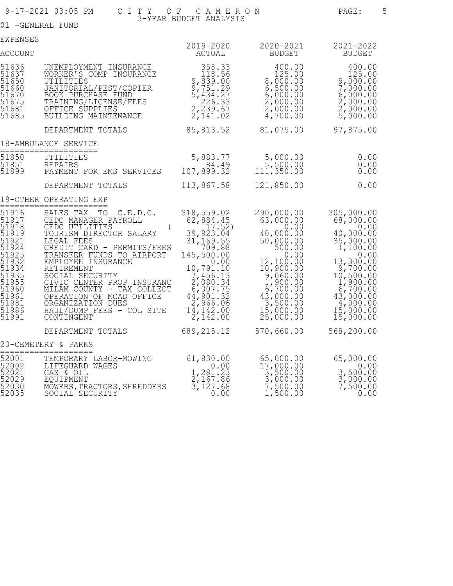01 -GENERAL FUND

| EXPENSES                                                                                                                                     |                                                                                                                                                                                                                                                                                                                                                                                          | 2019-2020                                                                                                                                                                                                                            | 2020-2021                                                                                                                                                                                                                                          | 2021-2022                                                                                                                                                                                                                                     |
|----------------------------------------------------------------------------------------------------------------------------------------------|------------------------------------------------------------------------------------------------------------------------------------------------------------------------------------------------------------------------------------------------------------------------------------------------------------------------------------------------------------------------------------------|--------------------------------------------------------------------------------------------------------------------------------------------------------------------------------------------------------------------------------------|----------------------------------------------------------------------------------------------------------------------------------------------------------------------------------------------------------------------------------------------------|-----------------------------------------------------------------------------------------------------------------------------------------------------------------------------------------------------------------------------------------------|
| <b>ACCOUNT</b>                                                                                                                               |                                                                                                                                                                                                                                                                                                                                                                                          | ACTUAL                                                                                                                                                                                                                               | BUDGET                                                                                                                                                                                                                                             | <b>BUDGET</b>                                                                                                                                                                                                                                 |
| 51636<br>51637<br>51650<br>51660<br>51670<br>51675<br>51681<br>51685                                                                         | UNEMPLOYMENT INSURANCE<br>WORKER'S COMP INSURANCE<br>UTILITIES<br>JANITORIAL/PEST/COPIER<br>BOOK PURCHASE FUND<br>TRAINING/LICENSE/FEES<br>OFFICE SUPPLIES<br>BUILDING MAINTENANCE                                                                                                                                                                                                       | 358.33<br>$\begin{array}{r} 338.356 \\ 118.56 \\ 9,839.00 \\ 9,751.227 \\ 5,434.27 \\ 226.33 \\ 2,239.67 \\ 2,141.02 \end{array}$                                                                                                    | 400.00<br>125.00<br>8,000.00<br>$6,500.00$<br>$6,500.00$<br>$2,000.00$<br>$2,000.00$<br>$4,700.00$                                                                                                                                                 | 400.00<br>125.00<br>$9,000.00$<br>7,000.00<br>$\begin{array}{c} 6,000.00 \\ 2,000.00 \\ 2,000.00 \\ 5,000.00 \end{array}$                                                                                                                     |
|                                                                                                                                              | DEPARTMENT TOTALS                                                                                                                                                                                                                                                                                                                                                                        | 85,813.52 81,075.00                                                                                                                                                                                                                  |                                                                                                                                                                                                                                                    | 97,875.00                                                                                                                                                                                                                                     |
|                                                                                                                                              | 18-AMBULANCE SERVICE<br>=================                                                                                                                                                                                                                                                                                                                                                |                                                                                                                                                                                                                                      |                                                                                                                                                                                                                                                    |                                                                                                                                                                                                                                               |
| 51850<br>51851<br>51899                                                                                                                      | UTILITIES<br><b>REPAIRS</b><br>PAYMENT FOR EMS SERVICES                                                                                                                                                                                                                                                                                                                                  | 5,883.77<br>107,899.32                                                                                                                                                                                                               | 5,000.00<br>$\frac{5}{111}, \frac{500}{350}.00$                                                                                                                                                                                                    | 0.00<br>0.00000                                                                                                                                                                                                                               |
|                                                                                                                                              | DEPARTMENT TOTALS                                                                                                                                                                                                                                                                                                                                                                        | 113,867.58                                                                                                                                                                                                                           | 121,850.00                                                                                                                                                                                                                                         | 0.00                                                                                                                                                                                                                                          |
|                                                                                                                                              | 19-OTHER OPERATING EXP                                                                                                                                                                                                                                                                                                                                                                   |                                                                                                                                                                                                                                      |                                                                                                                                                                                                                                                    |                                                                                                                                                                                                                                               |
| 51916<br>51917<br>51918<br>51919<br>51921<br>51924<br>51925<br>51932<br>51934<br>51935<br>51955<br>51960<br>51961<br>51981<br>51986<br>51991 | SALES TAX<br>TO<br>C.E.D.C.<br>CEDC MANAGER PAYROLL<br>CEDC UTILITIES<br>TOURISM DIRECTOR SALARY<br>LEGAL FEES<br>CREDIT CARD - PERMITS/FEES<br>TRANSFER FUNDS TO AIRPORT<br>EMPLOYEE INSURANCE<br>RETIREMENT<br>SOCIAL SECURITY<br>CIVIC CENTER PROP INSURANC<br>MILAM COUNTY - TAX COLLECT<br>OPERATION OF MCAD OFFICE<br>ORGANIZATION DUES<br>HAUL/DUMP FEES - COL SITE<br>CONTINGENT | 318,559.02<br>$\begin{array}{r} 62,884.45 \\ 9,923.04 \\ 39,923.04 \end{array}$<br>31, 169.55<br>709.88<br>145,500.00<br>10,791.10<br>$7,456.13$<br>$2,080.34$<br>$6,007.75$<br>$44,901.32$<br>$2,966.06$<br>$\frac{14}{2}$ , 142.00 | 290,000.00<br>63,000.00<br>0.00<br>40,000.00<br>50,000.00<br>500.00<br>0.00<br>12,100.00<br>10,900.00<br>$\begin{smallmatrix} 9,060.00\\ 1,900.00\\ 6,700.00 \end{smallmatrix}$<br>43,000.00<br>3,500.00<br>$\frac{15}{25}$ , 000.00<br>25, 000.00 | 305,000.00<br>68,000.00<br>0.00<br>40,000.00<br>$35,000.00$<br>$1,100.00$<br>0.00<br>13,300.00<br>9,700.00<br>$10, 500.00$<br>1,900.00<br>6,700.00<br>43,000.00<br>$\begin{smallmatrix} 4,000.00 \\ 15,000.00 \\ 15,000.00 \end{smallmatrix}$ |
|                                                                                                                                              | DEPARTMENT TOTALS                                                                                                                                                                                                                                                                                                                                                                        | 689, 215.12                                                                                                                                                                                                                          | 570,660.00                                                                                                                                                                                                                                         | 568,200.00                                                                                                                                                                                                                                    |
|                                                                                                                                              | 20-CEMETERY & PARKS                                                                                                                                                                                                                                                                                                                                                                      |                                                                                                                                                                                                                                      |                                                                                                                                                                                                                                                    |                                                                                                                                                                                                                                               |
| 52001<br>52002<br>52021<br>52029<br>52030<br>52035                                                                                           | TEMPORARY LABOR-MOWING<br>LIFEGUARD WAGES<br>GAS & OIL<br>EQUIPMENT<br>MOWERS, TRACTORS, SHREDDERS<br>SOCIAL SECURITY                                                                                                                                                                                                                                                                    | 61,830.00<br>$\frac{0.00}{2,167.86}$<br>3,127.68<br>0.00                                                                                                                                                                             | 65,000.00<br>$17,000.00$<br>3,500.00<br>3,000.00<br>7,500.00<br>1,500.00                                                                                                                                                                           | 65,000.00<br>$3,500.00$<br>3,500.00<br>3,000.00<br>7,500.00<br>0.00                                                                                                                                                                           |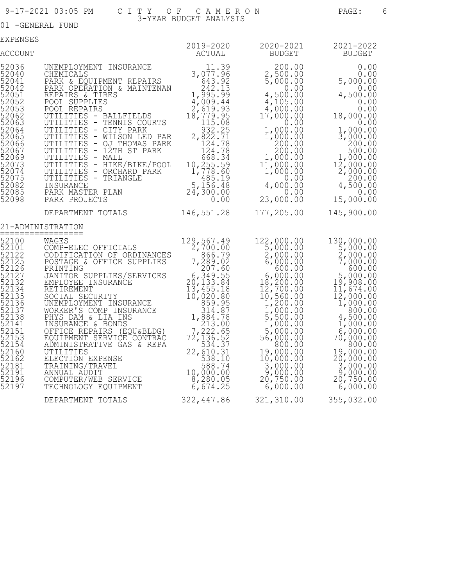01 -GENERAL FUND

| EXPENSES                                                                                                                                                                                  |                                                                                                                                                                                                                                                                                                                                                                                                                                                                                                                         |                                                                                                                                                                  |                                                                                                                                                                                                                                                                                                                                                   |                                                                                                                                                                                                                                                                                                                                                                                                                                                                                                                                                                                                          |
|-------------------------------------------------------------------------------------------------------------------------------------------------------------------------------------------|-------------------------------------------------------------------------------------------------------------------------------------------------------------------------------------------------------------------------------------------------------------------------------------------------------------------------------------------------------------------------------------------------------------------------------------------------------------------------------------------------------------------------|------------------------------------------------------------------------------------------------------------------------------------------------------------------|---------------------------------------------------------------------------------------------------------------------------------------------------------------------------------------------------------------------------------------------------------------------------------------------------------------------------------------------------|----------------------------------------------------------------------------------------------------------------------------------------------------------------------------------------------------------------------------------------------------------------------------------------------------------------------------------------------------------------------------------------------------------------------------------------------------------------------------------------------------------------------------------------------------------------------------------------------------------|
| ACCOUNT                                                                                                                                                                                   |                                                                                                                                                                                                                                                                                                                                                                                                                                                                                                                         | 2019-2020<br>ACTUAL                                                                                                                                              | 2020-2021<br>BUDGET                                                                                                                                                                                                                                                                                                                               | 2021-2022<br>BUDGET                                                                                                                                                                                                                                                                                                                                                                                                                                                                                                                                                                                      |
| 52036<br>52040<br>52041<br>52042<br>52051<br>52052<br>52053<br>52062<br>52063<br>52064<br>52065<br>52066<br>52067<br>52069<br>52073<br>52074<br>52075<br>52082<br>52085<br>52098          | UNEMPLOYMENT INSURANCE<br>CHEMICALS<br>PARK & EQUIPMENT REPAIRS<br>PARK OPERATION & MAINTENAN<br>REPAIRS & TIRES<br>POOL SUPPLIES<br>POOL REPAIRS<br>UTILITIES - BALLFIELDS<br>UTILITIES - TENNIS COURTS<br>UTILITIES - CITY PARK<br>UTILITIES - WILSON LED PAR<br>2,822.71<br>UTILITIES - 12TH ST PARK<br>UTILITIES - MALL<br>UTILITIES - HIKE/BIKE/POOL<br>UTILITIES - HIKE/BIKE/POOL<br>UTILITIES - ORCHARD PARK<br>10,255.59<br>UTILITIES - ORCHARD PARK<br>10,255.59<br>UTILITIES - ORCHARD PARK<br>10,255.59<br>U | 11.39<br>3,077.96<br>43.92<br>44.009.43<br>4,009.44<br>2,619.95<br>18,779.95<br>532.25<br>2,822.71<br>79.78<br>0.00                                              | $\frac{2}{5}$ , 500.00<br>5,000.00<br>0.00<br>$4,500.00$<br>$4,105.00$<br>$1^{4}$ , 000.00<br>17, 000.00<br>0.00<br>$1,000.00$<br>$1,000.00$<br>$\begin{array}{r} 200.00 \\ 200.00 \\ 200.00 \\ 1,000.00 \end{array}$<br>$11,000.00$<br>$1,000.00$<br>0.00<br>4,000.00<br>23,000.00                                                               | $\begin{array}{cccc} 200.00 & & & & 0.00 \\ 500.00 & & & & 0.00 \\ 0.500.00 & & & & 5,000.00 \\ 0.00 & & & & 5,000.00 \\ 0 & & & & & 0.00 \\ 0 & & & & & 0.00 \\ 0 & & & & & 0.00 \\ 0 & & & & & 0.00 \\ 0 & & & & & 0.00 \\ 0 & & & & & 0.00 \\ 0 & & & & & 0.00 \\ 0 & & & & & 0.00 \\ 0 & & & & & 0.00 \\ 0 & & & & & 0.00 \\ 0 & & & & &$<br>4,500.00<br>0.00<br>$0.00$<br>0.000,81<br>0.00<br>$\frac{1}{3}$ , 000.00<br>$\frac{200}{500}$ .00<br>$\frac{500}{500}$ .00<br>$\frac{1}{2}$ , 000.00<br>$\begin{array}{r} 12,000.00 \\ 2,000.00 \\ 200.00 \end{array}$<br>4,500.00<br>0.00<br>15,000.00 |
|                                                                                                                                                                                           | DEPARTMENT TOTALS                                                                                                                                                                                                                                                                                                                                                                                                                                                                                                       | 146,551.28                                                                                                                                                       | 177,205.00                                                                                                                                                                                                                                                                                                                                        | 145,900.00                                                                                                                                                                                                                                                                                                                                                                                                                                                                                                                                                                                               |
| 52100                                                                                                                                                                                     | 21-ADMINISTRATION<br>==============<br>WAGES                                                                                                                                                                                                                                                                                                                                                                                                                                                                            |                                                                                                                                                                  |                                                                                                                                                                                                                                                                                                                                                   |                                                                                                                                                                                                                                                                                                                                                                                                                                                                                                                                                                                                          |
| 52101<br>52122<br>52125<br>52126<br>52127<br>52132<br>52134<br>52135<br>52136<br>52137<br>52138<br>52141<br>52151<br>52153<br>52154<br>52160<br>52162<br>52181<br>52191<br>52196<br>52197 | COMP-ELEC OFFICIALS<br>CODIFICATION OF ORDINANCES<br>POSTAGE & OFFICE SUPPLIES<br>PRINTING<br>JANITOR SUPPLIES/SERVICES<br>EMPLOYEE INSURANCE<br>RETIREMENT<br>SOCIAL SECURITY<br>UNEMPLOYMENT INSURANCE<br>WORKER'S COMP INSURANCE<br>UNEMPLOYMENT INSURANCE<br>WORKER'S COMP INSURANCE<br>PHYS DAM & LIA INS<br>INSURANCE & BONDS<br>OFFICE REPAIRS (EQU&BLDG)<br>OFFICE REPAIRS (EQU&BLDG)<br>COVIPMENT SERVICE CONTRAC<br>TO 72,136.527<br>ADMINISTRATIVE GAS & REPA<br>UTILITIES<br><br>TECHNOLOGY EQUIPMENT       | 129, 567. 49<br>2, 700. 00<br>$7, \frac{286.79}{207.60}$<br>$\begin{array}{r} 6,349.55 \\ 20,133.84 \\ 13,455.18 \\ 10,020.80 \\ 859.95 \end{array}$<br>6,674.25 | 122,000.00<br>5,000.00<br>$\frac{2}{6}$ , 000.00<br>6, 000.00<br>600.00<br>$\begin{array}{c} 6,000.00\\ 18,200.00\\ 12,700.00\\ 10,560.00\\ 1,200.00\\ 5,500.00\\ 5,000.00\\ 5,000.00\\ \end{array}$<br>5,000.00<br>56,000.00<br>800.00<br>19,000.00<br>10,000.00<br>$\begin{array}{r} 3,000.00 \\ 3,000.00 \\ 20,750.00 \end{array}$<br>6,000.00 | 130,000.00<br>5,000.00<br>$\frac{2}{7}$ , 000.00<br>7, 000.00<br>600.00<br>$\frac{5}{19}$ , 000.00<br>$11,674.00$<br>$12,000.00$<br>$1,000.00$<br>800.00<br>4,500.00<br>1,000.00<br>6,000.00<br>70,000.00<br>800.00<br>19,000.00<br>20,000.00<br>$\begin{smallmatrix} 3,000.00 \\ 9,000.00 \\ 20,750.00 \end{smallmatrix}$<br>6,000.00                                                                                                                                                                                                                                                                   |
|                                                                                                                                                                                           | DEPARTMENT TOTALS                                                                                                                                                                                                                                                                                                                                                                                                                                                                                                       | 322,447.86                                                                                                                                                       | 321,310.00                                                                                                                                                                                                                                                                                                                                        | 355,032.00                                                                                                                                                                                                                                                                                                                                                                                                                                                                                                                                                                                               |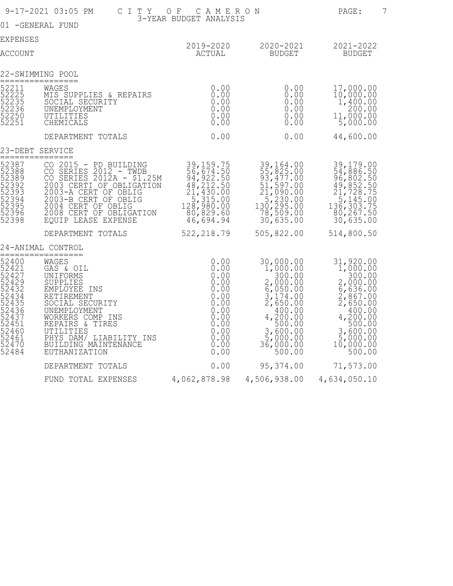|                                                                                                                            | 9-17-2021 03:05 PM<br>C I T Y                                                                                                                                                                                                                        | CAMERON<br>OF                                                                                           |                                                                                                                                                                                                              | PAGE:                                                                                                                                                                                                                             |
|----------------------------------------------------------------------------------------------------------------------------|------------------------------------------------------------------------------------------------------------------------------------------------------------------------------------------------------------------------------------------------------|---------------------------------------------------------------------------------------------------------|--------------------------------------------------------------------------------------------------------------------------------------------------------------------------------------------------------------|-----------------------------------------------------------------------------------------------------------------------------------------------------------------------------------------------------------------------------------|
| 01 - GENERAL FUND                                                                                                          |                                                                                                                                                                                                                                                      | 3-YEAR BUDGET ANALYSIS                                                                                  |                                                                                                                                                                                                              |                                                                                                                                                                                                                                   |
| <b>EXPENSES</b>                                                                                                            |                                                                                                                                                                                                                                                      |                                                                                                         |                                                                                                                                                                                                              |                                                                                                                                                                                                                                   |
| ACCOUNT                                                                                                                    |                                                                                                                                                                                                                                                      | <b>ACTUAL</b>                                                                                           | 2019-2020 2020-2021 2021-2022<br>BUDGET                                                                                                                                                                      | <b>BUDGET</b>                                                                                                                                                                                                                     |
| 22-SWIMMING POOL                                                                                                           | =============                                                                                                                                                                                                                                        |                                                                                                         |                                                                                                                                                                                                              |                                                                                                                                                                                                                                   |
| 52211<br>52225<br>52235<br>52236<br>52250<br>52251                                                                         | WAGES<br>WAGES<br>MIS_SUPPLIES_&,REPAIRS<br>SOCIAL SECURITY<br>UNEMPLOYMENT<br>UTILITIES<br>CHEMICALS                                                                                                                                                | $Q$ .00<br>$0.00$<br>$0.00$<br>0.00<br>$0.00$<br>$0.00$                                                 | 0.00<br>0.00<br>0.00<br>$0.00$<br>0.00<br>0.00                                                                                                                                                               | 17,000.00<br>$10,000.00$<br>$1,400.00$<br>$\begin{array}{r} 200.00 \\ 11,000.00 \\ 5,000.00 \end{array}$                                                                                                                          |
|                                                                                                                            | DEPARTMENT TOTALS                                                                                                                                                                                                                                    | 0.00                                                                                                    | 0.00                                                                                                                                                                                                         | 44,600.00                                                                                                                                                                                                                         |
| 23-DEBT SERVICE                                                                                                            | ============                                                                                                                                                                                                                                         |                                                                                                         |                                                                                                                                                                                                              |                                                                                                                                                                                                                                   |
| 52387<br>52388<br>52389<br>52392<br>52393<br>52394<br>52395<br>52396<br>52396<br>52398                                     | EQUIP LEASE EXPENSE                                                                                                                                                                                                                                  | 46,694.94                                                                                               | 39,164.00<br>55,825.00<br>93,477.00<br>51,597.00<br>21,090.00<br>$\begin{array}{r} 15,230.00 \\ 130,295.00 \\ 78,509.00 \\ 25,000 \end{array}$<br>30,635.00                                                  | 39, 179.00<br>54, 886.50<br>96, 802.50<br>49, 852.50<br>21, 728.750<br>$\overline{5}$ , 145.00<br>136, 303.75<br>80,267.50<br>30,635.00                                                                                           |
|                                                                                                                            | DEPARTMENT TOTALS                                                                                                                                                                                                                                    | 522, 218.79                                                                                             | 505,822.00                                                                                                                                                                                                   | 514,800.50                                                                                                                                                                                                                        |
|                                                                                                                            | 24-ANIMAL CONTROL<br>==============                                                                                                                                                                                                                  |                                                                                                         |                                                                                                                                                                                                              |                                                                                                                                                                                                                                   |
| 52400<br>52421<br>52427<br>52429<br>52432<br>52434<br>52435<br>52436<br>52437<br>52451<br>52460<br>52461<br>52470<br>52484 | WAGES<br>GAS & OIL<br>UNIFORMS<br>SUPPLIES<br>EMPLOYEE INS<br>RETIREMENT<br>SOCIAL SECURITY<br>UNEMPLOYMENT<br>WORKERS COMP INS<br>REPAIRS & TIRES<br>UTILITIES<br>PHYS DAM/ LIABILITY INS<br>BUILDING MAINTENANCE<br>EUTHANIZATION<br>EUTHANIZATION | 0.00<br>0.00<br>0.00<br>0.00<br>0.00<br>$0.00$<br>0.00<br>0.00<br>$\check{\hbox{0.00}}$<br>0.00<br>0.00 | 30,000.00<br>1,000.00<br>$\begin{array}{l} 2,000.00 \\ 2,000.00 \\ 6,050.00 \\ 3,174.00 \\ 2,650.00 \end{array}$<br>400.00<br>4, 200.00<br>500.00<br>3,600.00<br>5,000.00<br>6,000.00<br>36,000.00<br>500.00 | 31,920.00<br>1,000.00<br>$\begin{array}{r} 300.00 \\ 2,000.00 \\ 6,636.00 \end{array}$<br>$\frac{2}{2}$ , 867.00<br>2, 650.00<br>400.00<br>$4, \frac{200}{500}$ .00<br>$\frac{3}{5}$ , 600.00<br>5, 000.00<br>10,000.00<br>500.00 |
|                                                                                                                            | DEPARTMENT TOTALS                                                                                                                                                                                                                                    | 0.00                                                                                                    | 95,374.00                                                                                                                                                                                                    | 71,573.00                                                                                                                                                                                                                         |
|                                                                                                                            | FUND TOTAL EXPENSES 4,062,878.98 4,506,938.00 4,634,050.10                                                                                                                                                                                           |                                                                                                         |                                                                                                                                                                                                              |                                                                                                                                                                                                                                   |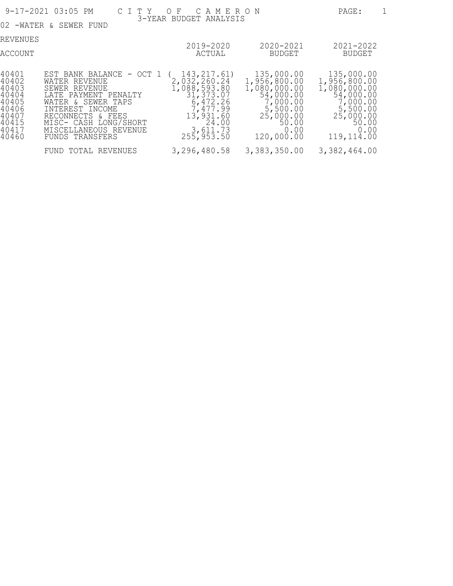|                                                                                          | 9-17-2021 03:05 PM                                                                                                                                                                                                    | CITY OF CAMERON                                                                                                                    |                                                                                                                             | PAGE:                                                                                                                        |
|------------------------------------------------------------------------------------------|-----------------------------------------------------------------------------------------------------------------------------------------------------------------------------------------------------------------------|------------------------------------------------------------------------------------------------------------------------------------|-----------------------------------------------------------------------------------------------------------------------------|------------------------------------------------------------------------------------------------------------------------------|
|                                                                                          | 02 -WATER & SEWER FUND                                                                                                                                                                                                | 3-YEAR BUDGET ANALYSIS                                                                                                             |                                                                                                                             |                                                                                                                              |
| REVENUES<br>ACCOUNT                                                                      |                                                                                                                                                                                                                       | 2019-2020<br>ACTUAL                                                                                                                | 2020-2021<br>BUDGET                                                                                                         | 2021-2022<br>BUDGET                                                                                                          |
| 140401<br>40402<br>40403<br>40404<br>40405<br>40406<br>140407<br>40415<br>40417<br>40460 | EST BANK BALANCE - OCT 1<br>WATER REVENUE<br>SEWER REVENUE<br>LATE PAYMENT PENALTY<br>WATER & SEWER TAPS<br>INTEREST INCOME<br>RECONNECTS & FEES<br>MISC- CASH LONG/SHORT<br>MISCELLANEOUS REVENUE<br>FUNDS TRANSFERS | 143, 217.61)<br>2,032,260.24<br>1,088,593.80<br>31,373.07<br>6,472.26<br>7,477.99<br>13,931.60<br>24.00<br>3,611.73<br>255, 953.50 | 135,000.00<br>1,956,800.00<br>1,080,000.00<br>54,000.00<br>7,000.00<br>5,500.00<br>25,000.00<br>50.00<br>0.00<br>120,000.00 | 135,000.00<br>1,956,800.00<br>1,080,000.00<br>54,000.00<br>7,000.00<br>5,500.00<br>25,000.00<br>50.00<br>0.00<br>119, 114.00 |
|                                                                                          | FUND TOTAL REVENUES                                                                                                                                                                                                   | 3,296,480.58                                                                                                                       | 3,383,350.00                                                                                                                | 3,382,464.00                                                                                                                 |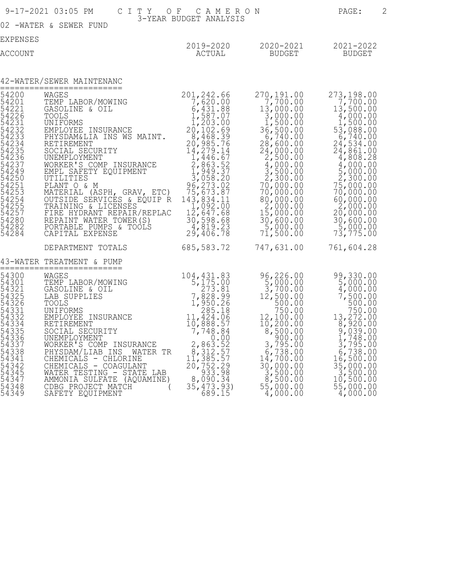|                                                                                                                                                             | 9-17-2021 03:05 PM CITY OF CAMERON                                                                                                                                                                                                                                                                                                                                                                                                                                                                                                                                                  |                                                                                                                                                                                                                                                                                                                         |                                                                                                                                                                                                                                                                                | 2<br>PAGE:                                                                                                                                                                                                                                                                                                                    |
|-------------------------------------------------------------------------------------------------------------------------------------------------------------|-------------------------------------------------------------------------------------------------------------------------------------------------------------------------------------------------------------------------------------------------------------------------------------------------------------------------------------------------------------------------------------------------------------------------------------------------------------------------------------------------------------------------------------------------------------------------------------|-------------------------------------------------------------------------------------------------------------------------------------------------------------------------------------------------------------------------------------------------------------------------------------------------------------------------|--------------------------------------------------------------------------------------------------------------------------------------------------------------------------------------------------------------------------------------------------------------------------------|-------------------------------------------------------------------------------------------------------------------------------------------------------------------------------------------------------------------------------------------------------------------------------------------------------------------------------|
|                                                                                                                                                             | 02 -WATER & SEWER FUND                                                                                                                                                                                                                                                                                                                                                                                                                                                                                                                                                              | 3-YEAR BUDGET ANALYSIS                                                                                                                                                                                                                                                                                                  |                                                                                                                                                                                                                                                                                |                                                                                                                                                                                                                                                                                                                               |
| <b>EXPENSES</b><br>ACCOUNT                                                                                                                                  |                                                                                                                                                                                                                                                                                                                                                                                                                                                                                                                                                                                     | 2019-2020<br>ACTUAL                                                                                                                                                                                                                                                                                                     | 2020-2021<br><b>BUDGET</b>                                                                                                                                                                                                                                                     | 2021-2022<br><b>BUDGET</b>                                                                                                                                                                                                                                                                                                    |
|                                                                                                                                                             | 42-WATER/SEWER MAINTENANC                                                                                                                                                                                                                                                                                                                                                                                                                                                                                                                                                           |                                                                                                                                                                                                                                                                                                                         |                                                                                                                                                                                                                                                                                |                                                                                                                                                                                                                                                                                                                               |
| 54200<br>54201<br>54237<br>54249<br>54250<br>54251<br>54253<br>542557<br>54280<br>54282<br>54284                                                            | $201, 242.66$ ING $7, 620.00$ $6, 431.88$ $1, 587.07$ $1, 203.00$ $5, 431.88$ $1, 587.07$ $1, 203.00$ $20, 1, 203.00$ $3, 100, 69$<br>WAGES<br>TEMP LABOR/MOWING<br>GASOLINE & OIL<br>TOOLS<br>UNIFORMS<br>EMPLOYEE INSURANCE<br>PHYSDAM&LIA INS WS MAINT.<br>RETIREMENT<br>SOCIAL SECURITY<br>UNEMPLOYMENT<br>WORKER'S COMP INSURANCE<br>EMPL SAFETY EQUIPMENT<br>UTILITIES<br>PLANT O & M<br>MATERIAL (ASPH, GRAV, ETC)<br>OUTSIDE SERVICES & EQUIP R<br>TRAINING & LICENSES<br>FIRE HYDRANT REPAIR/REPLAC<br>REPAINT WATER TOWER(S)<br>PORTABLE PUMPS & TOOLS<br>CAPITAL EXPENSE | $\begin{array}{c} 1,1587.007 \\ 1,203.00 \\ 20,102.69 \\ 8,468.39 \\ 20,985.74 \end{array}$<br>$\frac{14}{1}$ , 279.14<br>1, 446.67<br>$2,863.52$<br>$3,949.37$<br>$3,058.20$<br>$96,273.02$<br>$75,673.87$<br>$\begin{array}{c} 143,834.11 \\ 1,092.00 \\ 12,647.68 \\ 30,598.68 \\ 4,819.23 \\ 29,406.78 \end{array}$ | $270, 191.00$<br>7,700.00<br>13,000.00<br>3,000.00<br>1,500.00<br>36,500.00<br>6,740.00<br>28,600.00<br>24,000.00<br>2,500.00<br>4,000.00<br>3,500.00<br>2,300.00<br>70,000.00<br>70,000.00<br>80,000.00<br>2,000.00<br>15,000.00<br>30,600.00<br>$\frac{5,000.00}{71,500.00}$ | 273, 198.00<br>$7,700.00$<br>13,500.00<br>$\frac{4,000.00}{1,500.00}$<br>53,088.00<br>6,740.00<br>24,534.00<br>$\frac{24}{4}$ , 861.00<br>4, 808.28<br>$\frac{4}{5}$ , 000.00<br>5, 000.00<br>2, 300.00<br>75,000.00<br>70,000.00<br>60,000.00<br>2,000.00<br>20,000.00<br>30,600.00<br>$\frac{5}{73}$ , 000.00<br>73, 775.00 |
|                                                                                                                                                             | DEPARTMENT TOTALS                                                                                                                                                                                                                                                                                                                                                                                                                                                                                                                                                                   | 685,583.72                                                                                                                                                                                                                                                                                                              | 747,631.00                                                                                                                                                                                                                                                                     | 761,604.28                                                                                                                                                                                                                                                                                                                    |
| 43-WATER                                                                                                                                                    | TREATMENT & PUMP<br>======================                                                                                                                                                                                                                                                                                                                                                                                                                                                                                                                                          |                                                                                                                                                                                                                                                                                                                         |                                                                                                                                                                                                                                                                                |                                                                                                                                                                                                                                                                                                                               |
| 54300<br>54301<br>54321<br>54325<br>54326<br>54331<br>54332<br>54334<br>54335<br>54336<br>54337<br>54334255543434725555555555555555555555<br>54348<br>54349 | DWING<br>104,431.83<br>5,175.00<br>7,828.99<br>7,828.99<br>1,950.26<br>WAGES<br>TEMP LABOR/MOWING<br>GASOLINE & OIL<br>LAB SUPPLIES<br>TOOLS<br>UNIFORMS<br><b>EMPLOYEE INSURANCE<br/>RETIREMENT<br/>SOCIAL SECURITY</b><br>UNEMPLOYMENT<br>WORKER'S COMP INSURANCE<br>PHYSDAM/LIAB INS<br>WATER TR<br>CHEMICALS<br>- CHLORINE<br>CHEMICALS - COAGULANT<br>WATER TESTING - STATE LAB<br>AMMONIA SULFATE<br>(AQUAMINE)<br>CDBG PROJECT MATCH<br>SAFETY EQUIPMENT                                                                                                                     | $285.18$<br>11,424.06<br>10,888.57<br>7,748.84<br>0.00<br>2,863.52<br>$20,312.57$<br>$385.57$<br>$20,752.29$<br>$8,0933.98$<br>$35,090.34$<br>35, 473.93)<br>689.15                                                                                                                                                     | 96,226.00<br>5,000.00<br>3,700.00<br>12,500.00<br>500.00<br>750.00<br>12,100.00<br>10, 200.00<br>8,500.00<br>900.00<br>3,795.00<br>6, 738.00<br>14,700.00<br>30,000.00<br>3,500.00<br>8,500.00<br>55,000.00<br>4,000.00                                                        | 99,330.00<br>5,000.00<br>4,000.00<br>7,500.00<br>500.00<br>750.00<br>13, 272.00<br>8, 920.00<br>9,039.00<br>$\frac{1}{3}$ , 748.00<br>3, 795.00<br>6,738.00<br>16,500.00<br>35,000.00<br>3,500.00<br>10,500.00<br>55,000.00<br>4,000.00                                                                                       |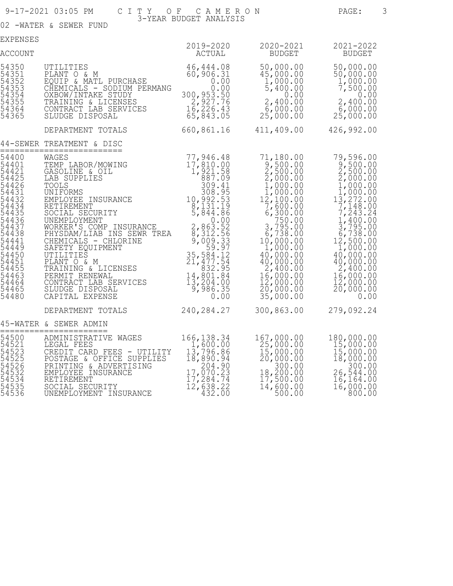|                                                                                                                                                                                           | 9-17-2021 03:05 PM                                                                                                                                                                                                                                                                                                                                                                                                                                                                                                                               | CITY OF CAMERON                                                                                                                                                     |                                                                                                                                                                                                                                                                                                                      | 3<br>PAGE:                                                                                                                                                                                                                                                                                                         |
|-------------------------------------------------------------------------------------------------------------------------------------------------------------------------------------------|--------------------------------------------------------------------------------------------------------------------------------------------------------------------------------------------------------------------------------------------------------------------------------------------------------------------------------------------------------------------------------------------------------------------------------------------------------------------------------------------------------------------------------------------------|---------------------------------------------------------------------------------------------------------------------------------------------------------------------|----------------------------------------------------------------------------------------------------------------------------------------------------------------------------------------------------------------------------------------------------------------------------------------------------------------------|--------------------------------------------------------------------------------------------------------------------------------------------------------------------------------------------------------------------------------------------------------------------------------------------------------------------|
|                                                                                                                                                                                           | 02 -WATER & SEWER FUND                                                                                                                                                                                                                                                                                                                                                                                                                                                                                                                           | 3-YEAR BUDGET ANALYSIS                                                                                                                                              |                                                                                                                                                                                                                                                                                                                      |                                                                                                                                                                                                                                                                                                                    |
| EXPENSES                                                                                                                                                                                  |                                                                                                                                                                                                                                                                                                                                                                                                                                                                                                                                                  | 2019-2020                                                                                                                                                           | 2020-2021                                                                                                                                                                                                                                                                                                            | 2021-2022                                                                                                                                                                                                                                                                                                          |
| <b>ACCOUNT</b>                                                                                                                                                                            |                                                                                                                                                                                                                                                                                                                                                                                                                                                                                                                                                  | ACTUAL                                                                                                                                                              | BUDGET                                                                                                                                                                                                                                                                                                               | <b>BUDGET</b>                                                                                                                                                                                                                                                                                                      |
| 54350<br>54351<br>54352<br>54353<br>54354<br>54355<br>54364<br>54365                                                                                                                      | UTILITIES<br>PLANT O & M<br>EQUIP & MATL PURCHASE<br>CHEMICALS - SODIUM PERMANG<br>OXBOW/INTAKE STUDY<br>TRAINING & LICENSES<br>CONTRACT LAB SERVICES<br>SLUDGE DISPOSAL                                                                                                                                                                                                                                                                                                                                                                         | 46, 444.08<br>60,906.31<br>0.00<br>0.00<br>300, 953.50<br>2, 927.76<br>16, 226.43<br>65, 843.05                                                                     | 50,000.00<br>45,000.00<br>1,000.00<br>5,400.00<br>0.00<br>2,400.00<br>6,000.00<br>25,000.00                                                                                                                                                                                                                          | 50,000.00<br>50,000.00<br>1,000.00<br>7,500.00<br>0.00<br>2,400.00<br>$6,000.00$<br>25,000.00                                                                                                                                                                                                                      |
|                                                                                                                                                                                           | DEPARTMENT TOTALS                                                                                                                                                                                                                                                                                                                                                                                                                                                                                                                                |                                                                                                                                                                     | 660,861.16 411,409.00                                                                                                                                                                                                                                                                                                | 426,992.00                                                                                                                                                                                                                                                                                                         |
|                                                                                                                                                                                           | 44-SEWER TREATMENT & DISC<br>==========================                                                                                                                                                                                                                                                                                                                                                                                                                                                                                          |                                                                                                                                                                     |                                                                                                                                                                                                                                                                                                                      |                                                                                                                                                                                                                                                                                                                    |
| 54400<br>54401<br>5442ī<br>54425<br>54426<br>54431<br>54432<br>54434<br>54435<br>54436<br>54437<br>54438<br>54441<br>54449<br>54450<br>54451<br>54455<br>54463<br>54464<br>54465<br>54480 | WAGES<br>WAGES<br>TEMP LABOR/MOWING<br>GASOLINE & OIL<br>LAB SUPPLIES<br>TOOLS<br>TOOLS<br>UNIFORMS<br>1,921.58<br>309.41<br>309.41<br>308.95<br>EMPLOYEE INSURANCE 10, 992.53<br>RETIREMENT 8, 131.19<br>SOCIAL SECURITY 5, 844.86<br>UNEMPLOYMENT<br>WORKER'S COMP INSURANCE<br>PHYSDAM/LIAB INS SEWR TREA<br>CHEMICALS - CHLORINE<br>SAFETY EQUIPMENT<br>UTILITIES<br>PLANT O & M<br>TRAINING & LICENSES<br>PERMIT RENEWAL<br>CONTRACT LAB SERVICES<br>CONTRACT LAB SERVICES<br>SLUDGE DISPOSAL<br>CAPITAL EXPENSE<br>CAPITAL EXPENSE<br>0.00 | 77,946.48<br>$\begin{array}{r} 0.00 \\ 2,863.52 \\ 8,312.56 \end{array}$<br>$9,009.33$<br>59.97<br>35, 584.12<br>21, 477.54<br>832.95<br>$14,801.84$<br>$13,204.00$ | 71,180.00<br>$\frac{9}{2}, \frac{500}{500}$<br>2,500.00<br>2,000.00<br>1,000.00<br>1,000.00<br>$\begin{array}{c} 12,100.00 \\ 7,600.00 \\ 6,300.00 \end{array}$<br>750.00<br>3,795.00<br>6,738.00<br>10,000.00<br>1,000.00<br>40,000.00<br>40,000.00<br>2,400.00<br>16,000.00<br>12,000.00<br>20,000.00<br>35,000.00 | 79,596.00<br>$\begin{array}{c} 9,500.00 \\ 2,500.00 \\ 2,000.00 \\ 1,000.00 \end{array}$<br>1,000.00<br>$1\frac{3}{7}, \frac{272}{148}.00$<br>7, 243.24<br>$1,400.00$<br>3,795.00<br>6,738.00<br>12,500.00<br>1,000.00<br>40,000.00<br>$\frac{40,000.00}{2,400.00}$<br>16,000.00<br>12,000.00<br>20,000.00<br>0.00 |
|                                                                                                                                                                                           | DEPARTMENT TOTALS 240,284.27                                                                                                                                                                                                                                                                                                                                                                                                                                                                                                                     |                                                                                                                                                                     | 300,863.00                                                                                                                                                                                                                                                                                                           | 279,092.24                                                                                                                                                                                                                                                                                                         |
|                                                                                                                                                                                           | 45-WATER & SEWER ADMIN<br>=======================                                                                                                                                                                                                                                                                                                                                                                                                                                                                                                |                                                                                                                                                                     |                                                                                                                                                                                                                                                                                                                      |                                                                                                                                                                                                                                                                                                                    |
| 54500<br>54521<br>54523<br>54525<br>54526<br>54532<br>54534<br>54535<br>54536                                                                                                             | ADMINISTRATIVE WAGES 166,138.34<br>LEGAL FEES 1,600.00<br>CREDIT CARD FEES - UTILITY<br>POSTAGE & OFFICE SUPPLIES<br>& ADVERTISING<br>PRINTING<br>EMPLOYEE INSURANCE<br>RETIREMENT<br>SOCIAL SECURITY<br>UNEMPLOYMENT INSURANCE                                                                                                                                                                                                                                                                                                                  | 13,796.86<br>18,890.94<br>$204.90$<br>17,070.23<br>17,284.74<br>12,638.22<br>432.00                                                                                 | 167,000.00<br>25,000.00<br>15,000.00<br>20,000.00<br>$\frac{18}{17}$ , $\frac{300}{500}$ , 00<br>18, 200.00<br>17, 500.00<br>14,600.00<br>500.00                                                                                                                                                                     | 180,000.00<br>15,000.00<br>15,000.00<br>18,000.00<br>26,544.00<br>16, 164.00<br>16,000.00<br>800.00                                                                                                                                                                                                                |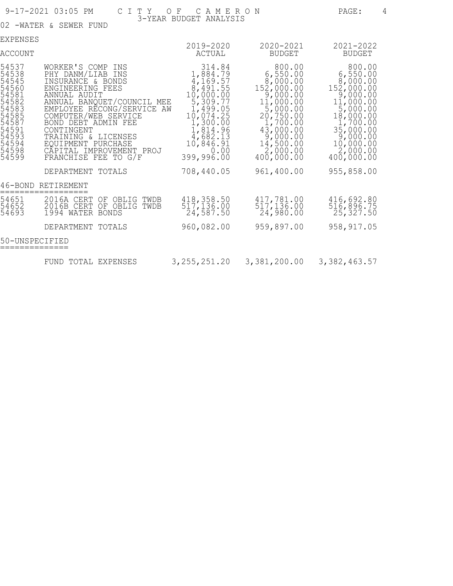#### 9-17-2021 03:05 PM C I T Y O F C A M E R O N PAGE: 4 3-YEAR BUDGET ANALYSIS

02 -WATER & SEWER FUND

| EXPENSES                                                                                                                   |                                                                                                                                                                                                                                                                                                                              |                                                                                                                                                                     |                                                                                                                                                                              |                                                                                                                                                                            |
|----------------------------------------------------------------------------------------------------------------------------|------------------------------------------------------------------------------------------------------------------------------------------------------------------------------------------------------------------------------------------------------------------------------------------------------------------------------|---------------------------------------------------------------------------------------------------------------------------------------------------------------------|------------------------------------------------------------------------------------------------------------------------------------------------------------------------------|----------------------------------------------------------------------------------------------------------------------------------------------------------------------------|
| ACCOUNT                                                                                                                    |                                                                                                                                                                                                                                                                                                                              | 2019-2020<br>ACTUAL                                                                                                                                                 | 2020-2021<br><b>BUDGET</b>                                                                                                                                                   | 2021-2022<br><b>BUDGET</b>                                                                                                                                                 |
| 54537<br>54538<br>54545<br>54560<br>54581<br>54582<br>54583<br>54585<br>54587<br>54591<br>54593<br>54594<br>54598<br>54599 | WORKER'S COMP INS<br>PHY DANM/LIAB INS<br>INSURANCE & BONDS<br>ENGINEERING FEES<br>ANNUAL AUDIT<br>ANNUAL BANQUET/COUNCIL MEE<br>EMPLOYEE RECONG/SERVICE<br>ΑW<br>COMPUTER/WEB SERVICE<br>BOND DEBT ADMIN FEE<br>CONTINGENT<br>TRAINING & LICENSES<br>EQUIPMENT PURCHASE<br>CAPITAL IMPROVEMENT PROJ<br>FRANCHISE FEE TO G/F | 314.84<br>1,884.79<br>4,169.57<br>8,491.55<br>10,000.00<br>5,309.77<br>1,499.05<br>10,074.25<br>1,300.00<br>1,814.96<br>4,682.13<br>10,846.91<br>0.00<br>399,996.00 | 800.00<br>6,550.00<br>8,000.00<br>152,000.00<br>9,000.00<br>11,000.00<br>$\frac{5}{20}$ , 750.00<br>1,700.00<br>43,000.00<br>9,000.00<br>14,500.00<br>2,000.00<br>400,000.00 | 800.00<br>6,550.00<br>8,000.00<br>152,000.00<br>9,000.00<br>11,000.00<br>5,000.00<br>18,000.00<br>1,700.00<br>35,000.00<br>9,000.00<br>10,000.00<br>2,000.00<br>400,000.00 |
|                                                                                                                            | DEPARTMENT TOTALS                                                                                                                                                                                                                                                                                                            | 708,440.05                                                                                                                                                          | 961,400.00                                                                                                                                                                   | 955,858.00                                                                                                                                                                 |
|                                                                                                                            | 46-BOND RETIREMENT                                                                                                                                                                                                                                                                                                           |                                                                                                                                                                     |                                                                                                                                                                              |                                                                                                                                                                            |
| 54651<br>54652<br>54693                                                                                                    | 2016A CERT<br>OF OBLIG<br>TWDB<br>2016B CERT<br>OF OBLIG TWDB<br>1994 WATER BONDS                                                                                                                                                                                                                                            | 418, 358.50<br>517, 136.00<br>24,587.50                                                                                                                             | 417,781.00<br>517, 136.00<br>24, 980.00                                                                                                                                      | 416,692.80<br>$\frac{5\bar{1}\check{6}}{25}$ , 327.50                                                                                                                      |
|                                                                                                                            | DEPARTMENT TOTALS                                                                                                                                                                                                                                                                                                            | 960,082.00                                                                                                                                                          | 959,897.00                                                                                                                                                                   | 958, 917.05                                                                                                                                                                |
| 50-UNSPECIFIED                                                                                                             |                                                                                                                                                                                                                                                                                                                              |                                                                                                                                                                     |                                                                                                                                                                              |                                                                                                                                                                            |
|                                                                                                                            | FUND TOTAL EXPENSES                                                                                                                                                                                                                                                                                                          | 3, 255, 251.20                                                                                                                                                      | 3,381,200.00                                                                                                                                                                 | 3, 382, 463.57                                                                                                                                                             |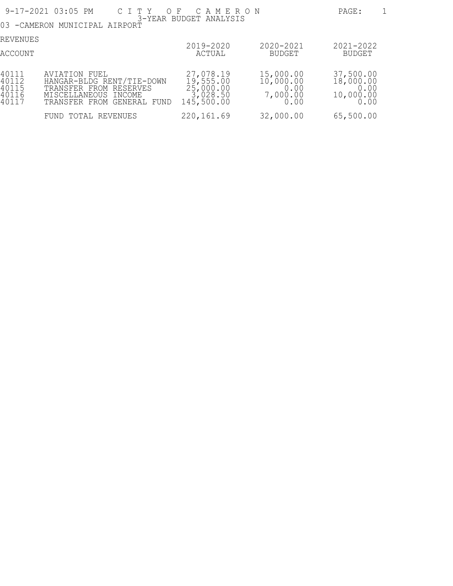|                                           | 9-17-2021 03:05 PM<br>CITY OF CAMERON                                                                                      |                                                               |                                                    | PAGE:                                               |
|-------------------------------------------|----------------------------------------------------------------------------------------------------------------------------|---------------------------------------------------------------|----------------------------------------------------|-----------------------------------------------------|
|                                           | 03 - CAMERON MUNICIPAL AIRPORT                                                                                             | 3-YEAR BUDGET ANALYSIS                                        |                                                    |                                                     |
| REVENUES<br>ACCOUNT                       |                                                                                                                            | 2019-2020<br>ACTUAL                                           | 2020-2021<br><b>BUDGET</b>                         | $2021 - 2022$<br>BUDGET                             |
| 40111<br>40112<br>40115<br>40116<br>40117 | AVIATION FUEL<br>HANGAR-BLDG RENT/TIE-DOWN<br>TRANSFER FROM RESERVES<br>MISCELLANEOUS INCOME<br>TRANSFER FROM GENERAL FUND | 27,078.19<br>19,555.00<br>25,000.00<br>3,028.50<br>145,500.00 | 15,000.00<br>10,000.00<br>0.00<br>7,000.00<br>0.00 | 37,500.00<br>18,000.00<br>0.00<br>10,000.00<br>0.00 |
|                                           | FUND TOTAL REVENUES                                                                                                        | 220, 161.69                                                   | 32,000.00                                          | 65,500.00                                           |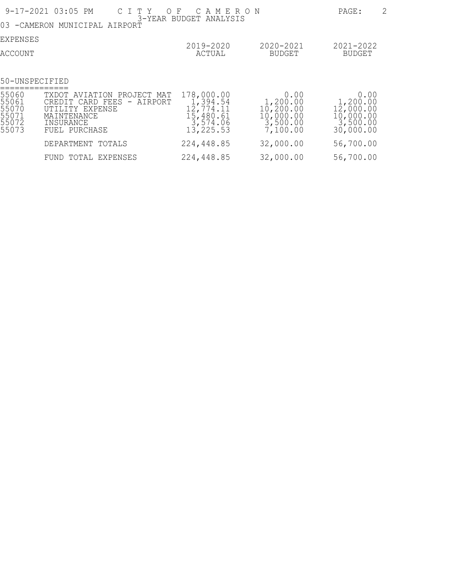| 9-17-2021 03:05 PM                                 | $\overline{2}$<br>PAGE:                                                                                                                               |                                                                            |                                                                          |                                                                         |
|----------------------------------------------------|-------------------------------------------------------------------------------------------------------------------------------------------------------|----------------------------------------------------------------------------|--------------------------------------------------------------------------|-------------------------------------------------------------------------|
| 03.<br>-CAMERON                                    | MUNICIPAL AIRPORT                                                                                                                                     | 3-YEAR BUDGET ANALYSIS                                                     |                                                                          |                                                                         |
| EXPENSES                                           |                                                                                                                                                       | 2019-2020                                                                  | 2020-2021                                                                | 2021-2022                                                               |
| ACCOUNT                                            |                                                                                                                                                       | ACTUAL                                                                     | <b>BUDGET</b>                                                            | <b>BUDGET</b>                                                           |
| 50-UNSPECIFIED                                     |                                                                                                                                                       |                                                                            |                                                                          |                                                                         |
| 55060<br>55061<br>55070<br>55071<br>55072<br>55073 | TXDOT AVIATION PROJECT MAT<br>CREDIT CARD FEES<br>AIRPORT<br>$\overline{\phantom{a}}$<br>UTILITY EXPENSE<br>MAINTENANCE<br>INSURANCE<br>FUEL PURCHASE | 178,000.00<br>1,394.54<br>12,774.11<br>15,480.61<br>3,574.06<br>13, 225.53 | 0.00<br>1,200.00<br>$10, 200.00$<br>$10, 000.00$<br>3,500.00<br>7,100.00 | 0.00<br>1,200.00<br>$12,000.00$<br>$10,000.00$<br>3,500.00<br>30,000.00 |
|                                                    | DEPARTMENT TOTALS                                                                                                                                     | 224,448.85                                                                 | 32,000.00                                                                | 56,700.00                                                               |
|                                                    | FUND TOTAL EXPENSES                                                                                                                                   | 224,448.85                                                                 | 32,000.00                                                                | 56,700.00                                                               |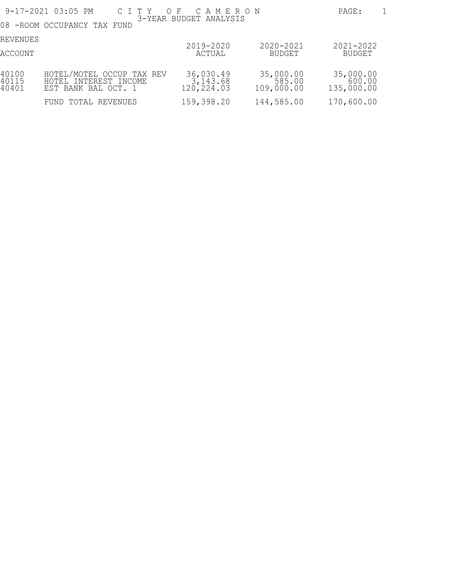|                         | 9-17-2021 03:05 PM                                                        | CITY OF CAMERON                     |                                   | 1<br>PAGE:                        |
|-------------------------|---------------------------------------------------------------------------|-------------------------------------|-----------------------------------|-----------------------------------|
|                         | 08 - ROOM OCCUPANCY TAX FUND                                              | 3-YEAR BUDGET ANALYSIS              |                                   |                                   |
| REVENUES<br>ACCOUNT     |                                                                           | 2019-2020<br>ACTUAL                 | 2020-2021<br>BUDGET               | $2021 - 2022$<br>BUDGET           |
| 40100<br>40115<br>40401 | HOTEL/MOTEL OCCUP TAX REV<br>HOTEL INTEREST INCOME<br>EST BANK BAL OCT. 1 | 36,030.49<br>3,143.68<br>120,224.03 | 35,000.00<br>585.00<br>109,000.00 | 35,000.00<br>600.00<br>135,000.00 |
|                         | FUND TOTAL REVENUES                                                       | 159,398.20                          | 144,585.00                        | 170,600.00                        |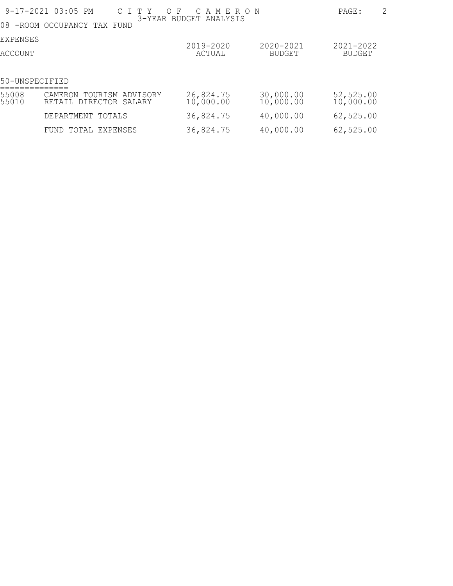|                 | 9-17-2021 03:05 PM<br>C I T Y<br>08 - ROOM OCCUPANCY TAX FUND | O F<br>$\mathbb{C}$<br>AMERON<br>3-YEAR BUDGET ANALYSIS |                        | 2<br>PAGE:             |
|-----------------|---------------------------------------------------------------|---------------------------------------------------------|------------------------|------------------------|
| <b>EXPENSES</b> |                                                               | 2019-2020                                               | 2020-2021              | $2021 - 2022$          |
| ACCOUNT         |                                                               | ACTUAL                                                  | <b>BUDGET</b>          | BUDGET                 |
| 50-UNSPECIFIED  |                                                               |                                                         |                        |                        |
| 55008<br>55010  | TOURISM ADVISORY<br>CAMERON<br>RETAIL DIRECTOR<br>SALARY      | 26,824.75<br>10,000.00                                  | 30,000.00<br>10,000.00 | 52,525.00<br>10,000.00 |
|                 | DEPARTMENT<br>TOTALS                                          | 36,824.75                                               | 40,000.00              | 62,525.00              |
|                 | TOTAL EXPENSES<br>FUND                                        | 36,824.75                                               | 40,000.00              | 62, 525.00             |
|                 |                                                               |                                                         |                        |                        |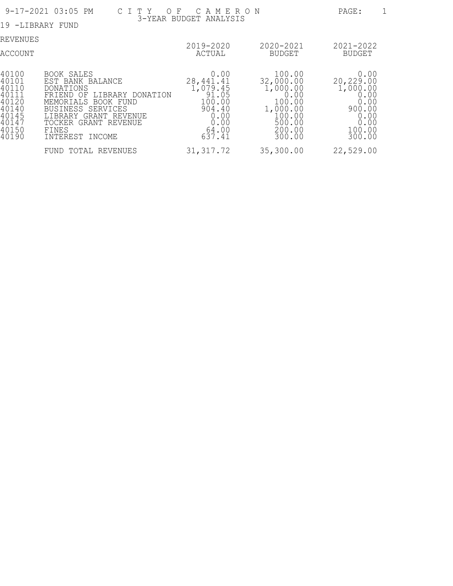| 9-17-2021 03:05 PM                                                                     | PAGE:                                                                                                                                                                                                           |                                                                                                |                                                                                                       |                                                                                             |
|----------------------------------------------------------------------------------------|-----------------------------------------------------------------------------------------------------------------------------------------------------------------------------------------------------------------|------------------------------------------------------------------------------------------------|-------------------------------------------------------------------------------------------------------|---------------------------------------------------------------------------------------------|
|                                                                                        | 19 -LIBRARY FUND                                                                                                                                                                                                | 3-YEAR BUDGET ANALYSIS                                                                         |                                                                                                       |                                                                                             |
| REVENUES<br>ACCOUNT                                                                    |                                                                                                                                                                                                                 | 2019-2020<br>ACTUAL                                                                            | 2020-2021<br>BUDGET                                                                                   | 2021-2022<br>BUDGET                                                                         |
| 40100<br>40101<br>40110<br>40111<br>40120<br>40140<br>40145<br>40147<br>40150<br>40190 | BOOK SALES<br>EST BANK BALANCE<br><b>DONATIONS</b><br>LIBRARY<br>FRIEND OF<br>DONATION<br>MEMORIALS BOOK FUND<br>BUSINESS SERVICES<br>LIBRARY GRANT REVENUE<br>TOCKER GRANT REVENUE<br>FINES<br>INTEREST INCOME | 0.00<br>28, 441.41<br>1,079.45<br>91.05<br>100.00<br>904.40<br>0.00<br>0.00<br>64.00<br>637.41 | 100.00<br>32,000.00<br>1,000.00<br>0.00<br>100.00<br>1,000.00<br>100.00<br>500.00<br>200.00<br>300.00 | 0.00<br>20,229.00<br>1,000.00<br>0.00<br>0.00<br>900.00<br>0.00<br>0.00<br>100.00<br>300.00 |
|                                                                                        | TOTAL REVENUES<br>FUND                                                                                                                                                                                          | 31, 317.72                                                                                     | 35,300.00                                                                                             | 22,529.00                                                                                   |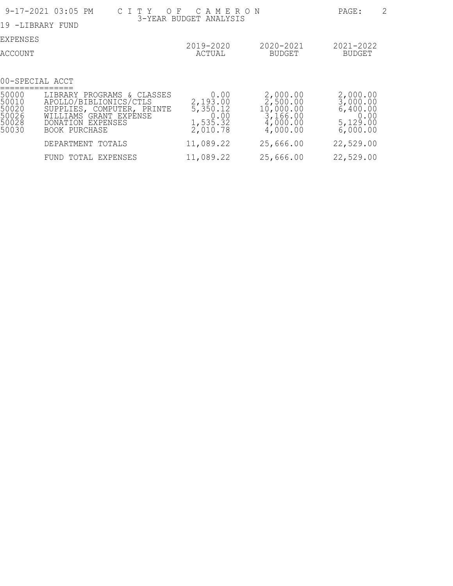| 9-17-2021 03:05 PM                                 | 2<br>PAGE:                                                                                                                                         |                                                              |                                                                       |                                                                  |
|----------------------------------------------------|----------------------------------------------------------------------------------------------------------------------------------------------------|--------------------------------------------------------------|-----------------------------------------------------------------------|------------------------------------------------------------------|
| -LIBRARY FUND<br>19                                |                                                                                                                                                    |                                                              |                                                                       |                                                                  |
| EXPENSES                                           |                                                                                                                                                    | 2019-2020                                                    | 2020-2021                                                             | 2021-2022                                                        |
| ACCOUNT                                            |                                                                                                                                                    | ACTUAL                                                       | BUDGET                                                                | <b>BUDGET</b>                                                    |
|                                                    | 00-SPECIAL ACCT                                                                                                                                    |                                                              |                                                                       |                                                                  |
| 50000<br>50010<br>50020<br>50026<br>50028<br>50030 | LIBRARY PROGRAMS & CLASSES<br>APOLLO/BIBLIONICS/CTLS<br>SUPPLIES, COMPUTER, PRINTE<br>WILLIAMS GRANT EXPENSE<br>DONATION EXPENSES<br>BOOK PURCHASE | 0.00<br>2,193.00<br>5,350.12<br>0.00<br>1,535.32<br>2,010.78 | 2,000.00<br>2,500.00<br>10,000.00<br>3,166.00<br>4,000.00<br>4,000.00 | 2,000.00<br>3,000.00<br>6,400.00<br>0.00<br>5,129.00<br>6,000.00 |
|                                                    | DEPARTMENT TOTALS                                                                                                                                  | 11,089.22                                                    | 25,666.00                                                             | 22,529.00                                                        |
|                                                    | FUND TOTAL EXPENSES                                                                                                                                | 11,089.22                                                    | 25,666.00                                                             | 22,529.00                                                        |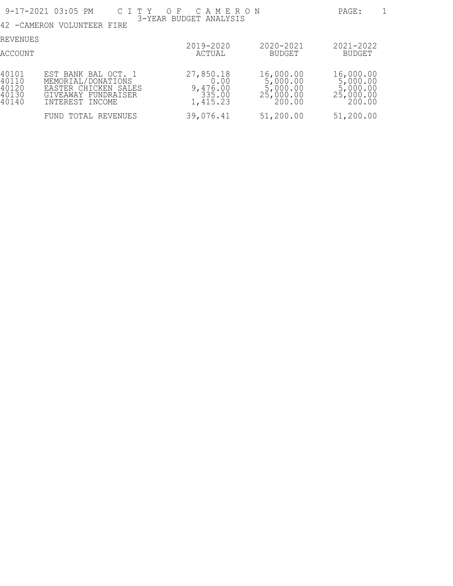|                                           | 9-17-2021 03:05 PM<br>C I T Y                                                                               | $O$ F<br>C A M E R O N                              |                                                              | PAGE:                                                        |
|-------------------------------------------|-------------------------------------------------------------------------------------------------------------|-----------------------------------------------------|--------------------------------------------------------------|--------------------------------------------------------------|
|                                           | 42 - CAMERON VOLUNTEER FIRE                                                                                 | 3-YEAR BUDGET ANALYSIS                              |                                                              |                                                              |
| REVENUES<br>ACCOUNT                       |                                                                                                             | 2019-2020<br>ACTUAL                                 | 2020-2021<br><b>BUDGET</b>                                   | $2021 - 2022$<br><b>BUDGET</b>                               |
| 40101<br>40110<br>40120<br>40130<br>40140 | EST BANK BAL OCT. 1<br>MEMORIAL/DONATIONS<br>EASTER CHICKEN SALES<br>GIVEAWAY FUNDRAISER<br>INTEREST INCOME | 27,850.18<br>0.00<br>9,476.00<br>335.00<br>1,415.23 | 16,000.00<br>5,000.00<br>5,000.00<br>$25,000.00$<br>$200.00$ | 16,000.00<br>5,000.00<br>5,000.00<br>$25,000.00$<br>$200.00$ |
|                                           | TOTAL REVENUES<br>FUND                                                                                      | 39,076.41                                           | 51,200.00                                                    | 51,200.00                                                    |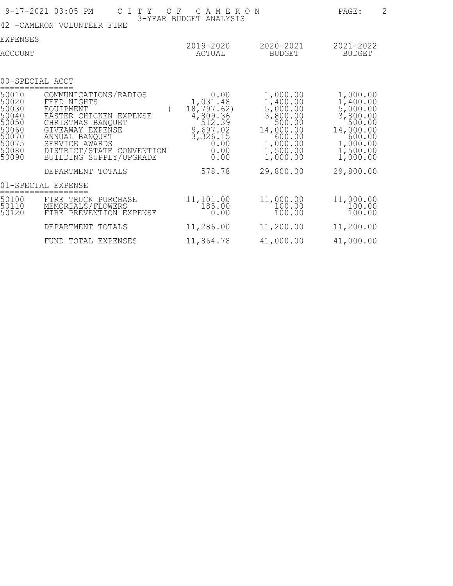|                                                                                        | 9-17-2021 03:05 PM<br>C I T Y<br>O F<br>42 -CAMERON VOLUNTEER FIRE                                                                                                                                                  | C A M E R O N<br>3-YEAR BUDGET ANALYSIS                                                                     |                                                                                                                       | $\overline{2}$<br>PAGE:                                                                                               |
|----------------------------------------------------------------------------------------|---------------------------------------------------------------------------------------------------------------------------------------------------------------------------------------------------------------------|-------------------------------------------------------------------------------------------------------------|-----------------------------------------------------------------------------------------------------------------------|-----------------------------------------------------------------------------------------------------------------------|
| EXPENSES                                                                               |                                                                                                                                                                                                                     |                                                                                                             |                                                                                                                       |                                                                                                                       |
| ACCOUNT                                                                                |                                                                                                                                                                                                                     | 2019-2020<br><b>ACTUAL</b>                                                                                  | 2020-2021<br><b>BUDGET</b>                                                                                            | 2021-2022<br><b>BUDGET</b>                                                                                            |
|                                                                                        | 00-SPECIAL ACCT                                                                                                                                                                                                     |                                                                                                             |                                                                                                                       |                                                                                                                       |
| 50010<br>50020<br>50030<br>50040<br>50050<br>50060<br>50070<br>50075<br>50080<br>50090 | COMMUNICATIONS/RADIOS<br>FEED NIGHTS<br>EOUIPMENT<br>EASTER CHICKEN EXPENSE<br>CHRISTMAS BANQUET<br>GIVEAWAY EXPENSE<br>ANNUAL BANQUET<br>SERVICE AWARDS<br>DISTRICT/STATE<br>CONVENTION<br>BUILDING SUPPLY/UPGRADE | 0.00<br>1,031.48<br>18,797.62)<br>4,809.36<br>512.39<br>$\frac{9,697.02}{3,326.15}$<br>0.00<br>0.00<br>0.00 | 1,000.00<br>1,400.00<br>5,000.00<br>3,800.00<br>500.00<br>14,000.00<br>600.00<br>1,000.00<br>$1,500.00$<br>$1,000.00$ | 1,000.00<br>1,400.00<br>5,000.00<br>3,800.00<br>500.00<br>14,000.00<br>600.00<br>1,000.00<br>$1,500.00$<br>$1,000.00$ |
|                                                                                        | DEPARTMENT TOTALS                                                                                                                                                                                                   | 578.78                                                                                                      | 29,800.00                                                                                                             | 29,800.00                                                                                                             |
|                                                                                        | 01-SPECIAL EXPENSE                                                                                                                                                                                                  |                                                                                                             |                                                                                                                       |                                                                                                                       |
| 50100<br>50110<br>50120                                                                | FIRE TRUCK PURCHASE<br>MEMORIALS/FLOWERS<br>FIRE PREVENTION EXPENSE                                                                                                                                                 | 11, 101.00<br>185.00<br>0.00                                                                                | 11,000.00<br>100.00<br>100.00                                                                                         | 11,000.00<br>100.00<br>100.00                                                                                         |
|                                                                                        | DEPARTMENT<br>TOTALS                                                                                                                                                                                                | 11,286.00                                                                                                   | 11,200.00                                                                                                             | 11,200.00                                                                                                             |
|                                                                                        | FUND TOTAL EXPENSES                                                                                                                                                                                                 | 11,864.78                                                                                                   | 41,000.00                                                                                                             | 41,000.00                                                                                                             |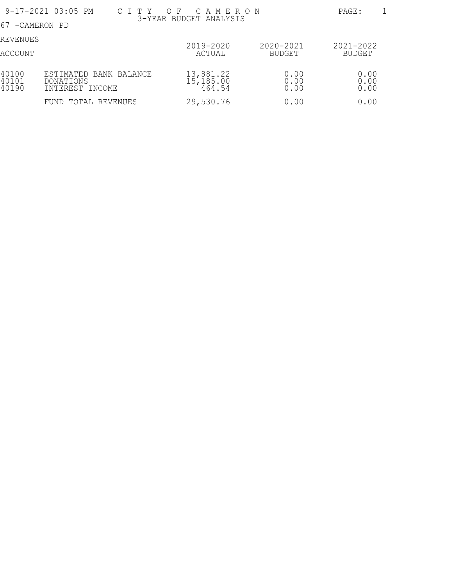|                         | 9-17-2021 03:05 PM<br>C I T Y                                 | OF CAMERON                       |                     | PAGE:                   |
|-------------------------|---------------------------------------------------------------|----------------------------------|---------------------|-------------------------|
| 67 - CAMERON PD         |                                                               | 3-YEAR BUDGET ANALYSIS           |                     |                         |
| REVENUES<br>ACCOUNT     |                                                               | 2019-2020<br>ACTUAL              | 2020-2021<br>BUDGET | $2021 - 2022$<br>BUDGET |
| 40100<br>40101<br>40190 | ESTIMATED BANK BALANCE<br><b>DONATIONS</b><br>INTEREST INCOME | 13,881.22<br>15,185.00<br>464.54 | 0.000000<br>0.00    | 0.000000<br>0.00        |
|                         | FUND TOTAL REVENUES                                           | 29,530.76                        | 0.00                | 0.00                    |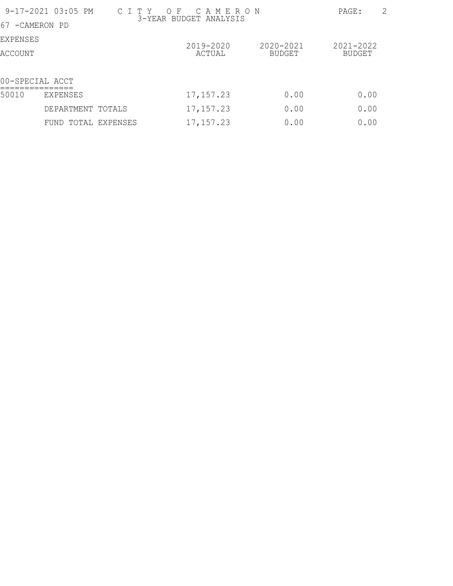| 9-17-2021 03:05 PM | $\overline{2}$<br>PAGE: |            |               |           |
|--------------------|-------------------------|------------|---------------|-----------|
| 67 - CAMERON PD    |                         |            |               |           |
| EXPENSES           |                         | 2019-2020  | 2020-2021     | 2021-2022 |
| ACCOUNT            |                         | ACTUAL     | <b>BUDGET</b> | BUDGET    |
|                    | 00-SPECIAL ACCT         |            |               |           |
| 50010              | EXPENSES                | 17, 157.23 | 0.00          | 0.00      |
|                    | DEPARTMENT TOTALS       | 17, 157.23 | 0.00          | 0.00      |
|                    | FUND TOTAL EXPENSES     | 17, 157.23 | 0.00          | 0.00      |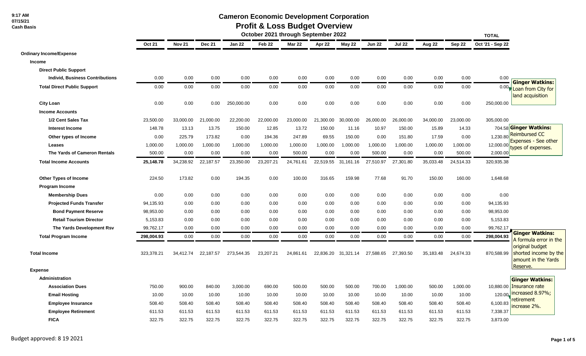**9:17 AM 07/15/21 Cash Basis**

### **Cameron Economic Development Corporation**

#### **Profit & Loss Budget Overview**

|                                        | October 2021 through September 2022 |               |               |            |                   |               |           |                     | <b>TOTAL</b>  |               |           |           |                  |                                                                 |
|----------------------------------------|-------------------------------------|---------------|---------------|------------|-------------------|---------------|-----------|---------------------|---------------|---------------|-----------|-----------|------------------|-----------------------------------------------------------------|
|                                        | <b>Oct 21</b>                       | <b>Nov 21</b> | <b>Dec 21</b> | Jan 22     | Feb <sub>22</sub> | <b>Mar 22</b> | Apr 22    | May 22              | <b>Jun 22</b> | <b>Jul 22</b> | Aug 22    | Sep 22    | Oct '21 - Sep 22 |                                                                 |
| <b>Ordinary Income/Expense</b>         |                                     |               |               |            |                   |               |           |                     |               |               |           |           |                  |                                                                 |
| <b>Income</b>                          |                                     |               |               |            |                   |               |           |                     |               |               |           |           |                  |                                                                 |
| <b>Direct Public Support</b>           |                                     |               |               |            |                   |               |           |                     |               |               |           |           |                  |                                                                 |
| <b>Individ, Business Contributions</b> | 0.00                                | 0.00          | 0.00          | 0.00       | 0.00              | 0.00          | 0.00      | 0.00                | 0.00          | 0.00          | 0.00      | 0.00      | 0.00             | <b>Ginger Watkins:</b>                                          |
| <b>Total Direct Public Support</b>     | 0.00                                | 0.00          | 0.00          | 0.00       | 0.00              | 0.00          | 0.00      | 0.00                | 0.00          | 0.00          | 0.00      | 0.00      |                  | 0.00 Loan from City for<br>land acquisition                     |
| <b>City Loan</b>                       | 0.00                                | 0.00          | 0.00          | 250,000.00 | 0.00              | 0.00          | 0.00      | 0.00                | 0.00          | 0.00          | 0.00      | 0.00      | 250,000.00       |                                                                 |
| <b>Income Accounts</b>                 |                                     |               |               |            |                   |               |           |                     |               |               |           |           |                  |                                                                 |
| 1/2 Cent Sales Tax                     | 23,500.00                           | 33,000.00     | 21,000.00     | 22,200.00  | 22,000.00         | 23,000.00     | 21,300.00 | 30,000.00           | 26,000.00     | 26,000.00     | 34,000.00 | 23,000.00 | 305,000.00       |                                                                 |
| <b>Interest Income</b>                 | 148.78                              | 13.13         | 13.75         | 150.00     | 12.85             | 13.72         | 150.00    | 11.16               | 10.97         | 150.00        | 15.89     | 14.33     |                  | 704.58 Ginger Watkins:                                          |
| Other types of Income                  | 0.00                                | 225.79        | 173.82        | 0.00       | 194.36            | 247.89        | 69.55     | 150.00              | 0.00          | 151.80        | 17.59     | 0.00      |                  | 1,230.80 Reimbursed CC                                          |
| Leases                                 | 1,000.00                            | 1,000.00      | 1,000.00      | 1,000.00   | 1,000.00          | 1,000.00      | 1,000.00  | 1,000.00            | 1,000.00      | 1,000.00      | 1,000.00  | 1,000.00  | 12,000.00        | <b>Expenses - See other</b><br>types of expenses.               |
| The Yards of Cameron Rentals           | 500.00                              | 0.00          | 0.00          | 0.00       | 0.00              | 500.00        | 0.00      | 0.00                | 500.00        | 0.00          | 0.00      | 500.00    | 2,000.00         |                                                                 |
| <b>Total Income Accounts</b>           | 25,148.78                           | 34,238.92     | 22,187.57     | 23,350.00  | 23,207.21         | 24,761.61     | 22,519.55 | 31,161.16           | 27,510.97     | 27,301.80     | 35,033.48 | 24,514.33 | 320,935.38       |                                                                 |
| <b>Other Types of Income</b>           | 224.50                              | 173.82        | 0.00          | 194.35     | 0.00              | 100.00        | 316.65    | 159.98              | 77.68         | 91.70         | 150.00    | 160.00    | 1,648.68         |                                                                 |
| <b>Program Income</b>                  |                                     |               |               |            |                   |               |           |                     |               |               |           |           |                  |                                                                 |
| <b>Membership Dues</b>                 | 0.00                                | 0.00          | 0.00          | 0.00       | 0.00              | 0.00          | 0.00      | 0.00                | 0.00          | 0.00          | 0.00      | 0.00      | 0.00             |                                                                 |
| <b>Projected Funds Transfer</b>        | 94,135.93                           | 0.00          | 0.00          | 0.00       | 0.00              | 0.00          | 0.00      | 0.00                | 0.00          | 0.00          | 0.00      | 0.00      | 94,135.93        |                                                                 |
| <b>Bond Payment Reserve</b>            | 98,953.00                           | 0.00          | 0.00          | 0.00       | 0.00              | 0.00          | 0.00      | 0.00                | 0.00          | 0.00          | 0.00      | 0.00      | 98,953.00        |                                                                 |
| <b>Retail Tourism Director</b>         | 5,153.83                            | 0.00          | 0.00          | 0.00       | 0.00              | 0.00          | 0.00      | 0.00                | 0.00          | 0.00          | 0.00      | 0.00      | 5,153.83         |                                                                 |
| The Yards Development Rsv              | 99,762.17                           | 0.00          | 0.00          | 0.00       | 0.00              | 0.00          | 0.00      | 0.00                | 0.00          | 0.00          | 0.00      | 0.00      | 99,762.17        |                                                                 |
| <b>Total Program Income</b>            | 298,004.93                          | 0.00          | 0.00          | 0.00       | 0.00              | 0.00          | 0.00      | 0.00                | 0.00          | 0.00          | 0.00      | 0.00      | 298,004.93       | <b>Ginger Watkins:</b><br>A formula error in the                |
| <b>Total Income</b>                    | 323,378.21                          | 34,412.74     | 22,187.57     | 273,544.35 | 23,207.21         | 24,861.61     |           | 22,836.20 31,321.14 | 27,588.65     | 27,393.50     | 35,183.48 | 24,674.33 | 870,588.99       | original budget<br>shorted income by the<br>amount in the Yards |
| <b>Expense</b>                         |                                     |               |               |            |                   |               |           |                     |               |               |           |           |                  | Reserve.                                                        |
| Administration                         |                                     |               |               |            |                   |               |           |                     |               |               |           |           |                  | <b>Ginger Watkins:</b>                                          |
| <b>Association Dues</b>                | 750.00                              | 900.00        | 840.00        | 3,000.00   | 690.00            | 500.00        | 500.00    | 500.00              | 700.00        | 1,000.00      | 500.00    | 1,000.00  |                  | 10,880.00   Insurance rate                                      |
| <b>Email Hosting</b>                   | 10.00                               | 10.00         | 10.00         | 10.00      | 10.00             | 10.00         | 10.00     | 10.00               | 10.00         | 10.00         | 10.00     | 10.00     | 120.00           | increased 8.97%;                                                |
| <b>Employee Insurance</b>              | 508.40                              | 508.40        | 508.40        | 508.40     | 508.40            | 508.40        | 508.40    | 508.40              | 508.40        | 508.40        | 508.40    | 508.40    | 6,100.83         | retirement<br>increase 2%.                                      |
| <b>Employee Retirement</b>             | 611.53                              | 611.53        | 611.53        | 611.53     | 611.53            | 611.53        | 611.53    | 611.53              | 611.53        | 611.53        | 611.53    | 611.53    | 7,338.37         |                                                                 |
| <b>FICA</b>                            | 322.75                              | 322.75        | 322.75        | 322.75     | 322.75            | 322.75        | 322.75    | 322.75              | 322.75        | 322.75        | 322.75    | 322.75    | 3,873.00         |                                                                 |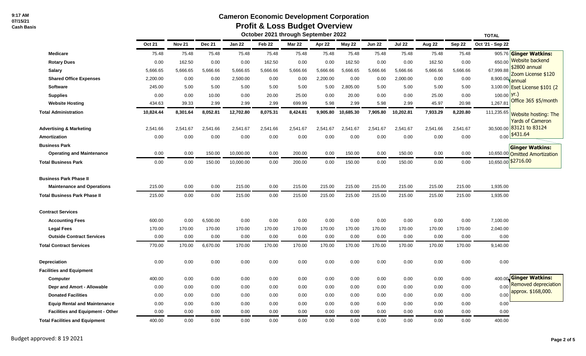## **Cameron Economic Development Corporation**

# **Profit & Loss Budget Overview**

|                                         |               |               |               |           |                   | October 2021 through September 2022 |          |               |               |               |          |          | <b>TOTAL</b>                                          |
|-----------------------------------------|---------------|---------------|---------------|-----------|-------------------|-------------------------------------|----------|---------------|---------------|---------------|----------|----------|-------------------------------------------------------|
|                                         | <b>Oct 21</b> | <b>Nov 21</b> | <b>Dec 21</b> | Jan 22    | Feb <sub>22</sub> | <b>Mar 22</b>                       | Apr 22   | <b>May 22</b> | <b>Jun 22</b> | <b>Jul 22</b> | Aug 22   | Sep 22   | Oct '21 - Sep 22                                      |
| <b>Medicare</b>                         | 75.48         | 75.48         | 75.48         | 75.48     | 75.48             | 75.48                               | 75.48    | 75.48         | 75.48         | 75.48         | 75.48    | 75.48    | 905.76 Ginger Watkins:                                |
| <b>Rotary Dues</b>                      | 0.00          | 162.50        | 0.00          | 0.00      | 162.50            | 0.00                                | 0.00     | 162.50        | 0.00          | 0.00          | 162.50   | 0.00     | <b>Website backend</b><br>650.00                      |
| <b>Salary</b>                           | 5,666.65      | 5,666.65      | 5,666.66      | 5,666.65  | 5,666.66          | 5,666.66                            | 5,666.66 | 5,666.65      | 5,666.66      | 5,666.66      | 5,666.66 | 5,666.66 | \$2800 annual<br>67,999.88<br>Zoom License \$120      |
| <b>Shared Office Expenses</b>           | 2,200.00      | 0.00          | 0.00          | 2,500.00  | 0.00              | 0.00                                | 2,200.00 | 0.00          | 0.00          | 2,000.00      | 0.00     | 0.00     | 8,900.00<br>annual                                    |
| <b>Software</b>                         | 245.00        | 5.00          | 5.00          | 5.00      | 5.00              | 5.00                                | 5.00     | 2,805.00      | 5.00          | 5.00          | 5.00     | 5.00     | 3,100.00 <b>Eset License \$101 (2</b>                 |
| <b>Supplies</b>                         | 0.00          | 0.00          | 10.00         | 0.00      | 20.00             | 25.00                               | 0.00     | 20.00         | 0.00          | 0.00          | 25.00    | 0.00     | lyr.)<br>100.00                                       |
| <b>Website Hosting</b>                  | 434.63        | 39.33         | 2.99          | 2.99      | 2.99              | 699.99                              | 5.98     | 2.99          | 5.98          | 2.99          | 45.97    | 20.98    | Office 365 \$5/month<br>1,267.8'                      |
| <b>Total Administration</b>             | 10,824.44     | 8,301.64      | 8,052.81      | 12,702.80 | 8,075.31          | 8,424.81                            | 9,905.80 | 10,685.30     | 7,905.80      | 10,202.81     | 7,933.29 | 8,220.80 | 111,235.65<br>Website hosting: The                    |
|                                         |               |               |               |           |                   |                                     |          |               |               |               |          |          | <b>Yards of Cameron</b>                               |
| <b>Advertising &amp; Marketing</b>      | 2,541.66      | 2,541.67      | 2,541.66      | 2,541.67  | 2,541.66          | 2,541.67                            | 2,541.67 | 2,541.67      | 2,541.67      | 2,541.67      | 2,541.66 | 2,541.67 | 30,500.00 83121 to 83124<br>\$431.64                  |
| <b>Amortization</b>                     | 0.00          | 0.00          | 0.00          | 0.00      | 0.00              | 0.00                                | 0.00     | 0.00          | 0.00          | 0.00          | 0.00     | 0.00     | 0.00                                                  |
| <b>Business Park</b>                    |               |               |               |           |                   |                                     |          |               |               |               |          |          | <b>Ginger Watkins:</b>                                |
| <b>Operating and Maintenance</b>        | 0.00          | 0.00          | 150.00        | 10,000.00 | 0.00              | 200.00                              | 0.00     | 150.00        | 0.00          | 150.00        | 0.00     | 0.00     | 10,650.00 Omitted Amortization<br>10,650.00 \$2716.00 |
| <b>Total Business Park</b>              | 0.00          | 0.00          | 150.00        | 10,000.00 | 0.00              | 200.00                              | 0.00     | 150.00        | 0.00          | 150.00        | 0.00     | 0.00     |                                                       |
| <b>Business Park Phase II</b>           |               |               |               |           |                   |                                     |          |               |               |               |          |          |                                                       |
| <b>Maintenance and Operations</b>       | 215.00        | 0.00          | 0.00          | 215.00    | 0.00              | 215.00                              | 215.00   | 215.00        | 215.00        | 215.00        | 215.00   | 215.00   | 1,935.00                                              |
| <b>Total Business Park Phase II</b>     | 215.00        | 0.00          | 0.00          | 215.00    | 0.00              | 215.00                              | 215.00   | 215.00        | 215.00        | 215.00        | 215.00   | 215.00   | 1,935.00                                              |
| <b>Contract Services</b>                |               |               |               |           |                   |                                     |          |               |               |               |          |          |                                                       |
| <b>Accounting Fees</b>                  | 600.00        | 0.00          | 6,500.00      | 0.00      | 0.00              | 0.00                                | 0.00     | 0.00          | 0.00          | 0.00          | 0.00     | 0.00     | 7,100.00                                              |
| <b>Legal Fees</b>                       | 170.00        | 170.00        | 170.00        | 170.00    | 170.00            | 170.00                              | 170.00   | 170.00        | 170.00        | 170.00        | 170.00   | 170.00   | 2,040.00                                              |
| <b>Outside Contract Services</b>        | 0.00          | 0.00          | 0.00          | 0.00      | 0.00              | 0.00                                | 0.00     | 0.00          | 0.00          | 0.00          | 0.00     | 0.00     | 0.00                                                  |
| <b>Total Contract Services</b>          | 770.00        | 170.00        | 6,670.00      | 170.00    | 170.00            | 170.00                              | 170.00   | 170.00        | 170.00        | 170.00        | 170.00   | 170.00   | 9,140.00                                              |
| Depreciation                            | 0.00          | 0.00          | 0.00          | 0.00      | 0.00              | 0.00                                | 0.00     | 0.00          | 0.00          | 0.00          | 0.00     | 0.00     | 0.00                                                  |
| <b>Facilities and Equipment</b>         |               |               |               |           |                   |                                     |          |               |               |               |          |          |                                                       |
| Computer                                | 400.00        | 0.00          | 0.00          | 0.00      | 0.00              | 0.00                                | 0.00     | 0.00          | 0.00          | 0.00          | 0.00     | 0.00     | 400.00 Ginger Watkins:                                |
| Depr and Amort - Allowable              | 0.00          | 0.00          | 0.00          | 0.00      | 0.00              | 0.00                                | 0.00     | 0.00          | 0.00          | 0.00          | 0.00     | 0.00     | Removed depreciation<br>0.00                          |
| <b>Donated Facilities</b>               | 0.00          | 0.00          | 0.00          | 0.00      | 0.00              | 0.00                                | 0.00     | 0.00          | 0.00          | 0.00          | 0.00     | 0.00     | approx. \$168,000.<br>0.00                            |
| <b>Equip Rental and Maintenance</b>     | 0.00          | 0.00          | 0.00          | 0.00      | 0.00              | 0.00                                | 0.00     | 0.00          | 0.00          | 0.00          | 0.00     | 0.00     | 0.00                                                  |
| <b>Facilities and Equipment - Other</b> | 0.00          | 0.00          | 0.00          | 0.00      | 0.00              | 0.00                                | 0.00     | 0.00          | 0.00          | 0.00          | 0.00     | 0.00     | 0.00                                                  |
| <b>Total Facilities and Equipment</b>   | 400.00        | 0.00          | 0.00          | 0.00      | 0.00              | 0.00                                | 0.00     | 0.00          | 0.00          | 0.00          | 0.00     | 0.00     | 400.00                                                |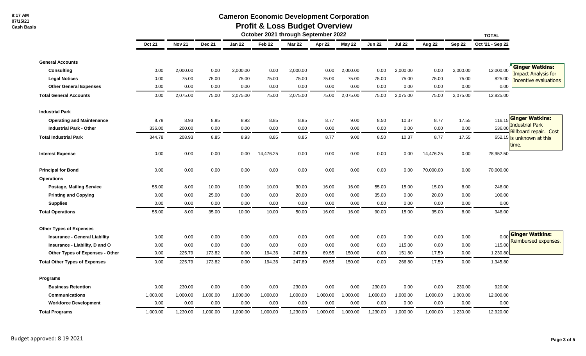# **Cameron Economic Development Corporation**

# **Profit & Loss Budget Overview**

|                                      | October 2021 through September 2022 |               |          |               |           |               |          |          |               |               |           |          | <b>TOTAL</b>     |                                                            |
|--------------------------------------|-------------------------------------|---------------|----------|---------------|-----------|---------------|----------|----------|---------------|---------------|-----------|----------|------------------|------------------------------------------------------------|
|                                      | <b>Oct 21</b>                       | <b>Nov 21</b> | Dec 21   | <b>Jan 22</b> | Feb 22    | <b>Mar 22</b> | Apr 22   | May 22   | <b>Jun 22</b> | <b>Jul 22</b> | Aug 22    | Sep 22   | Oct '21 - Sep 22 |                                                            |
| <b>General Accounts</b>              |                                     |               |          |               |           |               |          |          |               |               |           |          |                  |                                                            |
| <b>Consulting</b>                    | 0.00                                | 2,000.00      | 0.00     | 2,000.00      | 0.00      | 2,000.00      | 0.00     | 2,000.00 | 0.00          | 2,000.00      | 0.00      | 2,000.00 | 12,000.00        | <b>Ginger Watkins:</b>                                     |
| <b>Legal Notices</b>                 | 0.00                                | 75.00         | 75.00    | 75.00         | 75.00     | 75.00         | 75.00    | 75.00    | 75.00         | 75.00         | 75.00     | 75.00    | 825.00           | <b>Impact Analysis for</b><br><b>Incentive evaluations</b> |
| <b>Other General Expenses</b>        | 0.00                                | 0.00          | 0.00     | 0.00          | 0.00      | 0.00          | 0.00     | 0.00     | 0.00          | 0.00          | 0.00      | 0.00     | 0.00             |                                                            |
| <b>Total General Accounts</b>        | 0.00                                | 2,075.00      | 75.00    | 2,075.00      | 75.00     | 2,075.00      | 75.00    | 2,075.00 | 75.00         | 2,075.00      | 75.00     | 2,075.00 | 12,825.00        |                                                            |
| <b>Industrial Park</b>               |                                     |               |          |               |           |               |          |          |               |               |           |          |                  |                                                            |
| <b>Operating and Maintenance</b>     | 8.78                                | 8.93          | 8.85     | 8.93          | 8.85      | 8.85          | 8.77     | 9.00     | 8.50          | 10.37         | 8.77      | 17.55    | 116.15           | <b>Ginger Watkins:</b>                                     |
| <b>Industrial Park - Other</b>       | 336.00                              | 200.00        | 0.00     | 0.00          | 0.00      | 0.00          | 0.00     | 0.00     | 0.00          | 0.00          | 0.00      | 0.00     | 536.00           | <b>Industrial Park</b>                                     |
| <b>Total Industrial Park</b>         | 344.78                              | 208.93        | 8.85     | 8.93          | 8.85      | 8.85          | 8.77     | 9.00     | 8.50          | 10.37         | 8.77      | 17.55    |                  | <b>Billboard repair. Cost</b><br>652.15 is unknown at this |
| <b>Interest Expense</b>              | 0.00                                | 0.00          | 0.00     | 0.00          | 14,476.25 | 0.00          | 0.00     | 0.00     | 0.00          | 0.00          | 14,476.25 | 0.00     | 28,952.50        | time.                                                      |
| <b>Principal for Bond</b>            | 0.00                                | 0.00          | 0.00     | 0.00          | 0.00      | 0.00          | 0.00     | 0.00     | 0.00          | 0.00          | 70,000.00 | 0.00     | 70,000.00        |                                                            |
| <b>Operations</b>                    |                                     |               |          |               |           |               |          |          |               |               |           |          |                  |                                                            |
| <b>Postage, Mailing Service</b>      | 55.00                               | 8.00          | 10.00    | 10.00         | 10.00     | 30.00         | 16.00    | 16.00    | 55.00         | 15.00         | 15.00     | 8.00     | 248.00           |                                                            |
| <b>Printing and Copying</b>          | 0.00                                | 0.00          | 25.00    | 0.00          | 0.00      | 20.00         | 0.00     | 0.00     | 35.00         | 0.00          | 20.00     | 0.00     | 100.00           |                                                            |
| <b>Supplies</b>                      | 0.00                                | 0.00          | 0.00     | 0.00          | 0.00      | 0.00          | 0.00     | 0.00     | 0.00          | 0.00          | 0.00      | 0.00     | 0.00             |                                                            |
| <b>Total Operations</b>              | 55.00                               | 8.00          | 35.00    | 10.00         | 10.00     | 50.00         | 16.00    | 16.00    | 90.00         | 15.00         | 35.00     | 8.00     | 348.00           |                                                            |
| <b>Other Types of Expenses</b>       |                                     |               |          |               |           |               |          |          |               |               |           |          |                  |                                                            |
| <b>Insurance - General Liability</b> | 0.00                                | 0.00          | 0.00     | 0.00          | 0.00      | 0.00          | 0.00     | 0.00     | 0.00          | 0.00          | 0.00      | 0.00     | 0.00             | <b>Ginger Watkins:</b>                                     |
| Insurance - Liability, D and O       | 0.00                                | 0.00          | 0.00     | 0.00          | 0.00      | 0.00          | 0.00     | 0.00     | 0.00          | 115.00        | 0.00      | 0.00     | 115.00           | Reimbursed expenses.                                       |
| Other Types of Expenses - Other      | 0.00                                | 225.79        | 173.82   | 0.00          | 194.36    | 247.89        | 69.55    | 150.00   | 0.00          | 151.80        | 17.59     | 0.00     | 1,230.80         |                                                            |
| <b>Total Other Types of Expenses</b> | 0.00                                | 225.79        | 173.82   | 0.00          | 194.36    | 247.89        | 69.55    | 150.00   | 0.00          | 266.80        | 17.59     | 0.00     | 1,345.80         |                                                            |
| <b>Programs</b>                      |                                     |               |          |               |           |               |          |          |               |               |           |          |                  |                                                            |
| <b>Business Retention</b>            | 0.00                                | 230.00        | 0.00     | 0.00          | 0.00      | 230.00        | 0.00     | 0.00     | 230.00        | 0.00          | 0.00      | 230.00   | 920.00           |                                                            |
| <b>Communications</b>                | 1,000.00                            | 1,000.00      | 1,000.00 | 1,000.00      | 1,000.00  | 1,000.00      | 1,000.00 | 1,000.00 | 1,000.00      | 1,000.00      | 1,000.00  | 1,000.00 | 12,000.00        |                                                            |
| <b>Workforce Development</b>         | 0.00                                | 0.00          | 0.00     | 0.00          | 0.00      | 0.00          | 0.00     | 0.00     | 0.00          | 0.00          | 0.00      | 0.00     | 0.00             |                                                            |
| <b>Total Programs</b>                | 1,000.00                            | 1,230.00      | 1,000.00 | 1,000.00      | 1,000.00  | 1,230.00      | 1,000.00 | 1,000.00 | 1,230.00      | 1,000.00      | 1,000.00  | 1,230.00 | 12,920.00        |                                                            |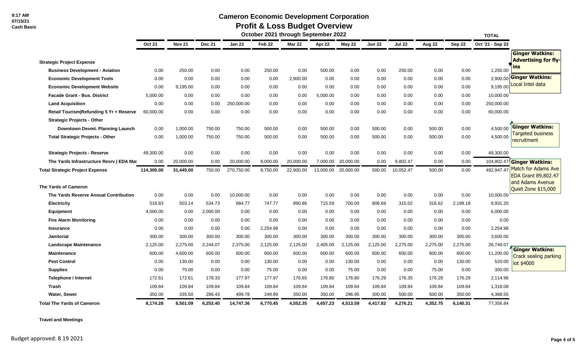### **Cameron Economic Development Corporation**

# **Profit & Loss Budget Overview**

|                                          | October 2021 through September 2022<br><b>TOTAL</b> |               |               |               |                   |               |           |           |               |               |          |          |                  |                                            |
|------------------------------------------|-----------------------------------------------------|---------------|---------------|---------------|-------------------|---------------|-----------|-----------|---------------|---------------|----------|----------|------------------|--------------------------------------------|
|                                          | <b>Oct 21</b>                                       | <b>Nov 21</b> | <b>Dec 21</b> | <b>Jan 22</b> | Feb <sub>22</sub> | <b>Mar 22</b> | Apr 22    | May 22    | <b>Jun 22</b> | <b>Jul 22</b> | Aug 22   | Sep 22   | Oct '21 - Sep 22 |                                            |
|                                          |                                                     |               |               |               |                   |               |           |           |               |               |          |          |                  | <b>Ginger Watkins:</b>                     |
| <b>Strategic Project Expense</b>         |                                                     |               |               |               |                   |               |           |           |               |               |          |          |                  | <b>Advertising for fly-</b>                |
| <b>Business Development - Aviation</b>   | 0.00                                                | 250.00        | 0.00          | 0.00          | 250.00            | 0.00          | 500.00    | 0.00      | 0.00          | 250.00        | 0.00     | 0.00     | 1,250.00         | Ins                                        |
| <b>Economic Development Tools</b>        | 0.00                                                | 0.00          | 0.00          | 0.00          | 0.00              | 2,900.00      | 0.00      | 0.00      | 0.00          | 0.00          | 0.00     | 0.00     | 2,900.00         | <b>Ginger Watkins:</b>                     |
| <b>Economic Development Website</b>      | 0.00                                                | 9,195.00      | 0.00          | 0.00          | 0.00              | 0.00          | 0.00      | 0.00      | 0.00          | 0.00          | 0.00     | 0.00     | 9,195.00         | Local Intel data                           |
| <b>Facade Grant - Bus. District</b>      | 5,000.00                                            | 0.00          | 0.00          | 0.00          | 0.00              | 0.00          | 5,000.00  | 0.00      | 0.00          | 0.00          | 0.00     | 0.00     | 10,000.00        |                                            |
| <b>Land Acquisition</b>                  | 0.00                                                | 0.00          | 0.00          | 250,000.00    | 0.00              | 0.00          | 0.00      | 0.00      | 0.00          | 0.00          | 0.00     | 0.00     | 250,000.00       |                                            |
| Retail Tourism Refunding 5 Yr + Reserve  | 60,000.00                                           | 0.00          | 0.00          | 0.00          | 0.00              | 0.00          | 0.00      | 0.00      | 0.00          | 0.00          | 0.00     | 0.00     | 60,000.00        |                                            |
| <b>Strategic Projects - Other</b>        |                                                     |               |               |               |                   |               |           |           |               |               |          |          |                  |                                            |
| Downtown Devmt. Planning Launch          | 0.00                                                | 1,000.00      | 750.00        | 750.00        | 500.00            | 0.00          | 500.00    | 0.00      | 500.00        | 0.00          | 500.00   | 0.00     | 4,500.00         | <b>Ginger Watkins:</b>                     |
| <b>Total Strategic Projects - Other</b>  | 0.00                                                | 1,000.00      | 750.00        | 750.00        | 500.00            | 0.00          | 500.00    | 0.00      | 500.00        | 0.00          | 500.00   | 0.00     | 4,500.00         | <b>Targeted business</b><br>recruitment    |
| <b>Strategic Projects - Reserve</b>      | 49,300.00                                           | 0.00          | 0.00          | 0.00          | 0.00              | 0.00          | 0.00      | 0.00      | 0.00          | 0.00          | 0.00     | 0.00     | 49,300.00        |                                            |
| The Yards Infrastructure Resrv   EDA Mat | 0.00                                                | 20.000.00     | 0.00          | 20,000.00     | 8,000.00          | 20,000.00     | 7,000.00  | 20.000.00 | 0.00          | 9,802.47      | 0.00     | 0.00     | 104,802.47       | <b>Ginger Watkins:</b>                     |
| <b>Total Strategic Project Expense</b>   | 114,300.00                                          | 31,445.00     | 750.00        | 270,750.00    | 8,750.00          | 22,900.00     | 13,000.00 | 20,000.00 | 500.00        | 10,052.47     | 500.00   | 0.00     | 492,947.47       | Match for Adams Ave<br>EDA Grant 89,802.47 |
| The Yards of Cameron                     |                                                     |               |               |               |                   |               |           |           |               |               |          |          |                  | and Adams Avenue<br>Quiet Zone \$15,000    |
| The Yards Reserve Annual Contribution    | 0.00                                                | 0.00          | 0.00          | 10,000.00     | 0.00              | 0.00          | 0.00      | 0.00      | 0.00          | 0.00          | 0.00     | 0.00     | 10,000.00        |                                            |
| <b>Electricity</b>                       | 516.83                                              | 503.14        | 534.73        | 684.77        | 747.77            | 890.86        | 715.59    | 700.00    | 806.69        | 315.02        | 316.62   | 2,199.18 | 8,931.20         |                                            |
| <b>Equipment</b>                         | 4,000.00                                            | 0.00          | 2.000.00      | 0.00          | 0.00              | 0.00          | 0.00      | 0.00      | 0.00          | 0.00          | 0.00     | 0.00     | 6,000.00         |                                            |
| <b>Fire Alarm Monitoring</b>             | 0.00                                                | 0.00          | 0.00          | 0.00          | 0.00              | 0.00          | 0.00      | 0.00      | 0.00          | 0.00          | 0.00     | 0.00     | 0.00             |                                            |
| <b>Insurance</b>                         | 0.00                                                | 0.00          | 0.00          | 0.00          | 2,254.98          | 0.00          | 0.00      | 0.00      | 0.00          | 0.00          | 0.00     | 0.00     | 2,254.98         |                                            |
| <b>Janitorial</b>                        | 300.00                                              | 300.00        | 300.00        | 300.00        | 300.00            | 300.00        | 300.00    | 300.00    | 300.00        | 300.00        | 300.00   | 300.00   | 3,600.00         |                                            |
| <b>Landscape Maintenance</b>             | 2,125.00                                            | 2,275.00      | 2,244.07      | 2,375.00      | 2,125.00          | 2,125.00      | 2,405.00  | 2,125.00  | 2,125.00      | 2,275.00      | 2,275.00 | 2,275.00 | 26,749.07        | <b>Ginger Watkins:</b>                     |
| <b>Maintenance</b>                       | 600.00                                              | 4,600.00      | 600.00        | 600.00        | 600.00            | 600.00        | 600.00    | 600.00    | 600.00        | 600.00        | 600.00   | 600.00   | 11,200.00        | Crack sealing parking                      |
| <b>Pest Control</b>                      | 0.00                                                | 130.00        | 0.00          | 0.00          | 130.00            | 0.00          | 0.00      | 130.00    | 0.00          | 0.00          | 0.00     | 130.00   | 520.00           | lot \$4000                                 |
| <b>Supplies</b>                          | 0.00                                                | 75.00         | 0.00          | 0.00          | 75.00             | 0.00          | 0.00      | 75.00     | 0.00          | 0.00          | 75.00    | 0.00     | 300.00           |                                            |
| Telephone / Internet                     | 172.61                                              | 172.61        | 178.33        | 177.97        | 177.97            | 176.65        | 176.80    | 176.80    | 176.29        | 176.35        | 176.29   | 176.29   | 2,114.96         |                                            |
| <b>Trash</b>                             | 109.84                                              | 109.84        | 109.84        | 109.84        | 109.84            | 109.84        | 109.84    | 109.84    | 109.84        | 109.84        | 109.84   | 109.84   | 1,318.08         |                                            |
| Water, Sewer                             | 350.00                                              | 335.50        | 286.43        | 499.78        | 249.89            | 350.00        | 350.00    | 296.95    | 300.00        | 500.00        | 500.00   | 350.00   | 4,368.55         |                                            |
| <b>Total The Yards of Cameron</b>        | 8,174.28                                            | 8,501.09      | 6,253.40      | 14,747.36     | 6,770.45          | 4,552.35      | 4,657.23  | 4,513.59  | 4,417.82      | 4,276.21      | 4,352.75 | 6,140.31 | 77,356.84        |                                            |

**Travel and Meetings**